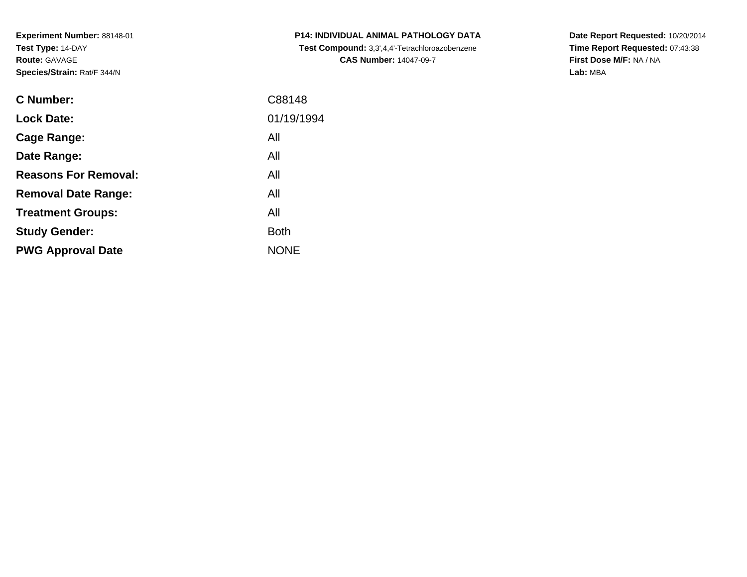**Experiment Number:** 88148-01**Test Type:** 14-DAY**Route:** GAVAGE**Species/Strain:** Rat/F 344/N

| <b>C Number:</b>            | C88148      |
|-----------------------------|-------------|
| <b>Lock Date:</b>           | 01/19/1994  |
| <b>Cage Range:</b>          | All         |
| Date Range:                 | All         |
| <b>Reasons For Removal:</b> | All         |
| <b>Removal Date Range:</b>  | All         |
| <b>Treatment Groups:</b>    | All         |
| <b>Study Gender:</b>        | <b>Both</b> |
| <b>PWG Approval Date</b>    | <b>NONE</b> |
|                             |             |

**P14: INDIVIDUAL ANIMAL PATHOLOGY DATA Test Compound:** 3,3',4,4'-Tetrachloroazobenzene**CAS Number:** 14047-09-7

**Date Report Requested:** 10/20/2014 **Time Report Requested:** 07:43:38**First Dose M/F:** NA / NA**Lab:** MBA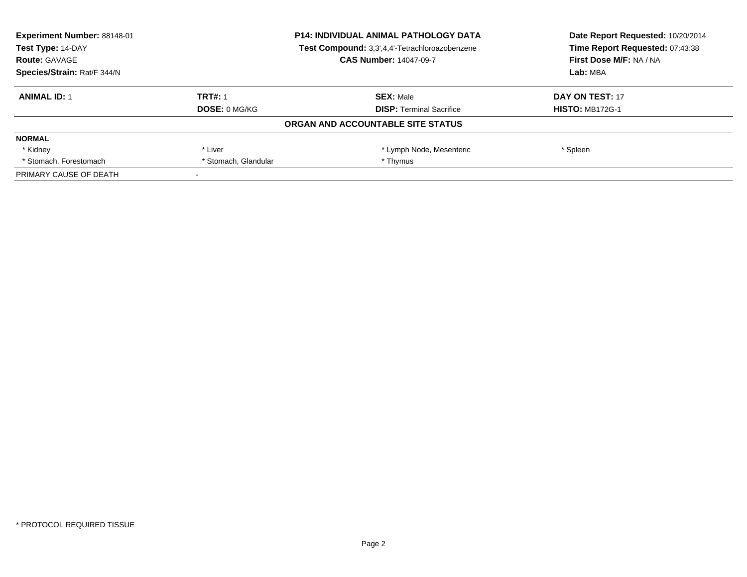| <b>Experiment Number: 88148-01</b> | <b>P14: INDIVIDUAL ANIMAL PATHOLOGY DATA</b><br>Test Compound: 3,3',4,4'-Tetrachloroazobenzene |                                   | Date Report Requested: 10/20/2014 |
|------------------------------------|------------------------------------------------------------------------------------------------|-----------------------------------|-----------------------------------|
| Test Type: 14-DAY                  |                                                                                                |                                   | Time Report Requested: 07:43:38   |
| <b>Route: GAVAGE</b>               |                                                                                                | <b>CAS Number: 14047-09-7</b>     | First Dose M/F: NA / NA           |
| Species/Strain: Rat/F 344/N        |                                                                                                |                                   | Lab: MBA                          |
| <b>ANIMAL ID: 1</b>                | <b>TRT#: 1</b>                                                                                 | <b>SEX: Male</b>                  | DAY ON TEST: 17                   |
|                                    | DOSE: 0 MG/KG                                                                                  | <b>DISP:</b> Terminal Sacrifice   | <b>HISTO: MB172G-1</b>            |
|                                    |                                                                                                | ORGAN AND ACCOUNTABLE SITE STATUS |                                   |
| <b>NORMAL</b>                      |                                                                                                |                                   |                                   |
| * Kidney                           | * Liver                                                                                        | * Lymph Node, Mesenteric          | * Spleen                          |
| * Stomach, Forestomach             | * Stomach, Glandular                                                                           | * Thymus                          |                                   |
| PRIMARY CAUSE OF DEATH             |                                                                                                |                                   |                                   |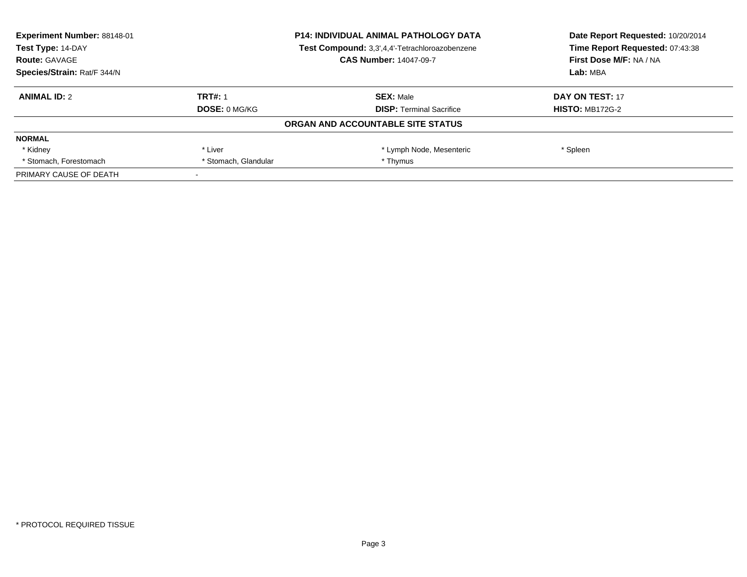| <b>Experiment Number: 88148-01</b><br><b>P14: INDIVIDUAL ANIMAL PATHOLOGY DATA</b> |                                                | Date Report Requested: 10/20/2014 |                                 |
|------------------------------------------------------------------------------------|------------------------------------------------|-----------------------------------|---------------------------------|
| Test Type: 14-DAY                                                                  | Test Compound: 3,3',4,4'-Tetrachloroazobenzene |                                   | Time Report Requested: 07:43:38 |
| <b>Route: GAVAGE</b>                                                               |                                                | <b>CAS Number: 14047-09-7</b>     | First Dose M/F: NA / NA         |
| Species/Strain: Rat/F 344/N                                                        |                                                |                                   | Lab: MBA                        |
| <b>ANIMAL ID: 2</b>                                                                | <b>TRT#: 1</b>                                 | <b>SEX: Male</b>                  | DAY ON TEST: 17                 |
|                                                                                    | DOSE: 0 MG/KG                                  | <b>DISP:</b> Terminal Sacrifice   | <b>HISTO: MB172G-2</b>          |
|                                                                                    |                                                | ORGAN AND ACCOUNTABLE SITE STATUS |                                 |
| <b>NORMAL</b>                                                                      |                                                |                                   |                                 |
| * Kidney                                                                           | * Liver                                        | * Lymph Node, Mesenteric          | * Spleen                        |
| * Stomach, Forestomach                                                             | * Stomach, Glandular                           | * Thymus                          |                                 |
| PRIMARY CAUSE OF DEATH                                                             |                                                |                                   |                                 |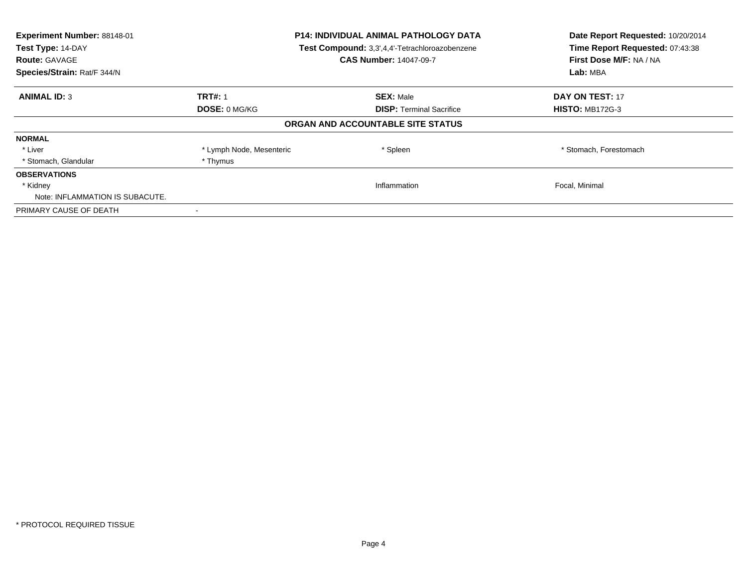| Experiment Number: 88148-01<br>Test Type: 14-DAY<br><b>Route: GAVAGE</b><br>Species/Strain: Rat/F 344/N |                          | <b>P14: INDIVIDUAL ANIMAL PATHOLOGY DATA</b><br>Test Compound: 3,3',4,4'-Tetrachloroazobenzene<br><b>CAS Number: 14047-09-7</b> | Date Report Requested: 10/20/2014<br>Time Report Requested: 07:43:38<br>First Dose M/F: NA / NA<br>Lab: MBA |
|---------------------------------------------------------------------------------------------------------|--------------------------|---------------------------------------------------------------------------------------------------------------------------------|-------------------------------------------------------------------------------------------------------------|
| <b>ANIMAL ID: 3</b>                                                                                     | <b>TRT#: 1</b>           | <b>SEX: Male</b>                                                                                                                | DAY ON TEST: 17                                                                                             |
|                                                                                                         | DOSE: 0 MG/KG            | <b>DISP:</b> Terminal Sacrifice                                                                                                 | <b>HISTO: MB172G-3</b>                                                                                      |
|                                                                                                         |                          | ORGAN AND ACCOUNTABLE SITE STATUS                                                                                               |                                                                                                             |
| <b>NORMAL</b>                                                                                           |                          |                                                                                                                                 |                                                                                                             |
| * Liver                                                                                                 | * Lymph Node, Mesenteric | * Spleen                                                                                                                        | * Stomach, Forestomach                                                                                      |
| * Stomach, Glandular                                                                                    | * Thymus                 |                                                                                                                                 |                                                                                                             |
| <b>OBSERVATIONS</b>                                                                                     |                          |                                                                                                                                 |                                                                                                             |
| * Kidney                                                                                                |                          | Inflammation                                                                                                                    | Focal, Minimal                                                                                              |
| Note: INFLAMMATION IS SUBACUTE.                                                                         |                          |                                                                                                                                 |                                                                                                             |
| PRIMARY CAUSE OF DEATH                                                                                  |                          |                                                                                                                                 |                                                                                                             |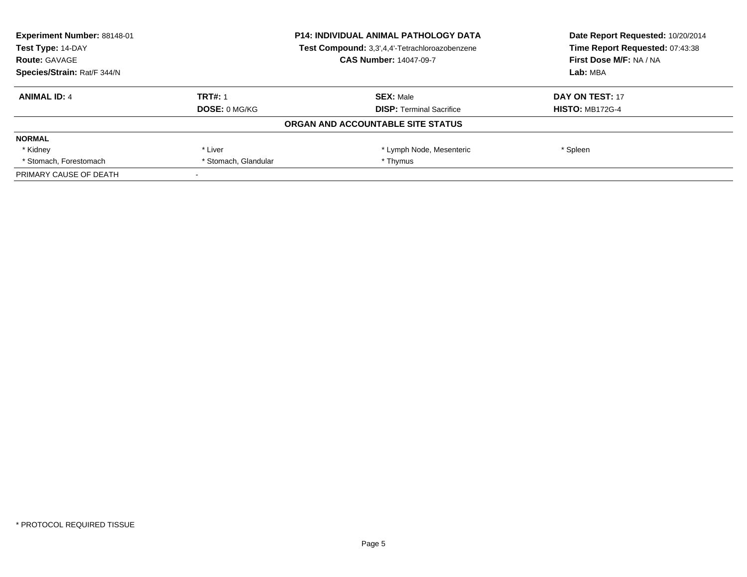| <b>Experiment Number: 88148-01</b> | <b>P14: INDIVIDUAL ANIMAL PATHOLOGY DATA</b><br>Test Compound: 3,3',4,4'-Tetrachloroazobenzene |                                   | Date Report Requested: 10/20/2014 |
|------------------------------------|------------------------------------------------------------------------------------------------|-----------------------------------|-----------------------------------|
| Test Type: 14-DAY                  |                                                                                                |                                   | Time Report Requested: 07:43:38   |
| <b>Route: GAVAGE</b>               |                                                                                                | <b>CAS Number: 14047-09-7</b>     | First Dose M/F: NA / NA           |
| Species/Strain: Rat/F 344/N        |                                                                                                |                                   | Lab: MBA                          |
| <b>ANIMAL ID: 4</b>                | <b>TRT#: 1</b>                                                                                 | <b>SEX: Male</b>                  | DAY ON TEST: 17                   |
|                                    | DOSE: 0 MG/KG                                                                                  | <b>DISP:</b> Terminal Sacrifice   | <b>HISTO: MB172G-4</b>            |
|                                    |                                                                                                | ORGAN AND ACCOUNTABLE SITE STATUS |                                   |
| <b>NORMAL</b>                      |                                                                                                |                                   |                                   |
| * Kidney                           | * Liver                                                                                        | * Lymph Node, Mesenteric          | * Spleen                          |
| * Stomach, Forestomach             | * Stomach, Glandular                                                                           | * Thymus                          |                                   |
| PRIMARY CAUSE OF DEATH             |                                                                                                |                                   |                                   |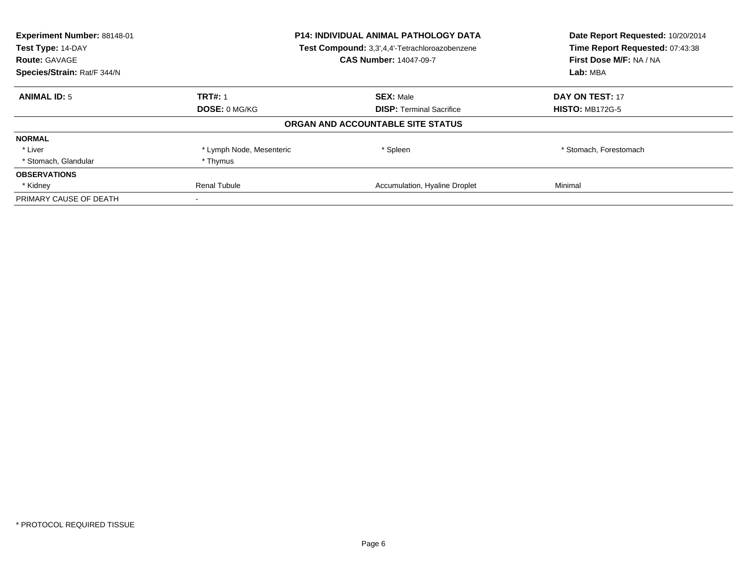| Experiment Number: 88148-01<br>Test Type: 14-DAY | <b>P14: INDIVIDUAL ANIMAL PATHOLOGY DATA</b><br>Test Compound: 3,3',4,4'-Tetrachloroazobenzene |                                   | Date Report Requested: 10/20/2014<br>Time Report Requested: 07:43:38 |
|--------------------------------------------------|------------------------------------------------------------------------------------------------|-----------------------------------|----------------------------------------------------------------------|
| <b>Route: GAVAGE</b>                             |                                                                                                | <b>CAS Number: 14047-09-7</b>     | First Dose M/F: NA / NA                                              |
| Species/Strain: Rat/F 344/N                      |                                                                                                |                                   | Lab: MBA                                                             |
| <b>ANIMAL ID: 5</b>                              | <b>TRT#: 1</b>                                                                                 | <b>SEX: Male</b>                  | <b>DAY ON TEST: 17</b>                                               |
|                                                  | <b>DOSE: 0 MG/KG</b>                                                                           | <b>DISP:</b> Terminal Sacrifice   | <b>HISTO: MB172G-5</b>                                               |
|                                                  |                                                                                                | ORGAN AND ACCOUNTABLE SITE STATUS |                                                                      |
| <b>NORMAL</b>                                    |                                                                                                |                                   |                                                                      |
| * Liver                                          | * Lymph Node, Mesenteric                                                                       | * Spleen                          | * Stomach, Forestomach                                               |
| * Stomach, Glandular                             | * Thymus                                                                                       |                                   |                                                                      |
| <b>OBSERVATIONS</b>                              |                                                                                                |                                   |                                                                      |
| * Kidney                                         | Renal Tubule                                                                                   | Accumulation, Hyaline Droplet     | Minimal                                                              |
| PRIMARY CAUSE OF DEATH                           |                                                                                                |                                   |                                                                      |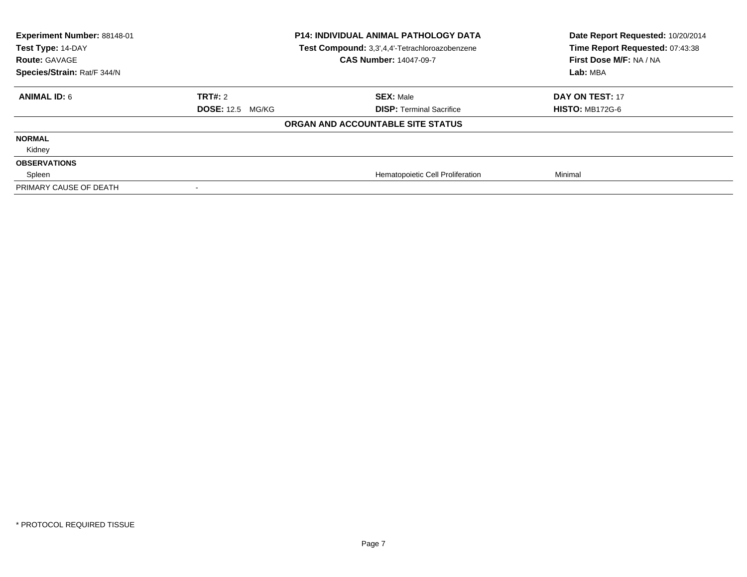| Experiment Number: 88148-01<br>Test Type: 14-DAY<br><b>Route: GAVAGE</b><br>Species/Strain: Rat/F 344/N |                         | <b>P14: INDIVIDUAL ANIMAL PATHOLOGY DATA</b><br>Test Compound: 3,3',4,4'-Tetrachloroazobenzene<br><b>CAS Number: 14047-09-7</b> | Date Report Requested: 10/20/2014<br>Time Report Requested: 07:43:38<br>First Dose M/F: NA / NA<br>Lab: MBA |
|---------------------------------------------------------------------------------------------------------|-------------------------|---------------------------------------------------------------------------------------------------------------------------------|-------------------------------------------------------------------------------------------------------------|
| <b>ANIMAL ID: 6</b>                                                                                     | TRT#: 2                 | <b>SEX: Male</b>                                                                                                                | <b>DAY ON TEST: 17</b>                                                                                      |
|                                                                                                         | <b>DOSE: 12.5 MG/KG</b> | <b>DISP: Terminal Sacrifice</b>                                                                                                 | <b>HISTO: MB172G-6</b>                                                                                      |
|                                                                                                         |                         | ORGAN AND ACCOUNTABLE SITE STATUS                                                                                               |                                                                                                             |
| <b>NORMAL</b>                                                                                           |                         |                                                                                                                                 |                                                                                                             |
| Kidney                                                                                                  |                         |                                                                                                                                 |                                                                                                             |
| <b>OBSERVATIONS</b>                                                                                     |                         |                                                                                                                                 |                                                                                                             |
| Spleen                                                                                                  |                         | Hematopoietic Cell Proliferation                                                                                                | Minimal                                                                                                     |
| PRIMARY CAUSE OF DEATH                                                                                  |                         |                                                                                                                                 |                                                                                                             |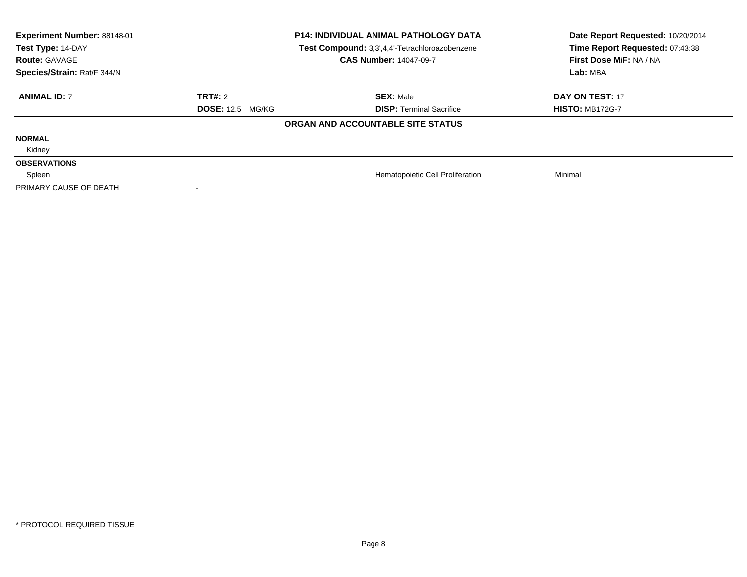| Experiment Number: 88148-01<br>Test Type: 14-DAY<br><b>Route: GAVAGE</b><br>Species/Strain: Rat/F 344/N |                         | <b>P14: INDIVIDUAL ANIMAL PATHOLOGY DATA</b><br>Test Compound: 3,3',4,4'-Tetrachloroazobenzene<br><b>CAS Number: 14047-09-7</b> | Date Report Requested: 10/20/2014<br>Time Report Requested: 07:43:38<br>First Dose M/F: NA / NA<br>Lab: MBA |
|---------------------------------------------------------------------------------------------------------|-------------------------|---------------------------------------------------------------------------------------------------------------------------------|-------------------------------------------------------------------------------------------------------------|
| <b>ANIMAL ID: 7</b>                                                                                     | TRT#: 2                 | <b>SEX: Male</b>                                                                                                                | DAY ON TEST: 17                                                                                             |
|                                                                                                         | <b>DOSE: 12.5 MG/KG</b> | <b>DISP: Terminal Sacrifice</b>                                                                                                 | <b>HISTO: MB172G-7</b>                                                                                      |
|                                                                                                         |                         | ORGAN AND ACCOUNTABLE SITE STATUS                                                                                               |                                                                                                             |
| <b>NORMAL</b>                                                                                           |                         |                                                                                                                                 |                                                                                                             |
| Kidney                                                                                                  |                         |                                                                                                                                 |                                                                                                             |
| <b>OBSERVATIONS</b>                                                                                     |                         |                                                                                                                                 |                                                                                                             |
| Spleen                                                                                                  |                         | Hematopoietic Cell Proliferation                                                                                                | Minimal                                                                                                     |
| PRIMARY CAUSE OF DEATH                                                                                  |                         |                                                                                                                                 |                                                                                                             |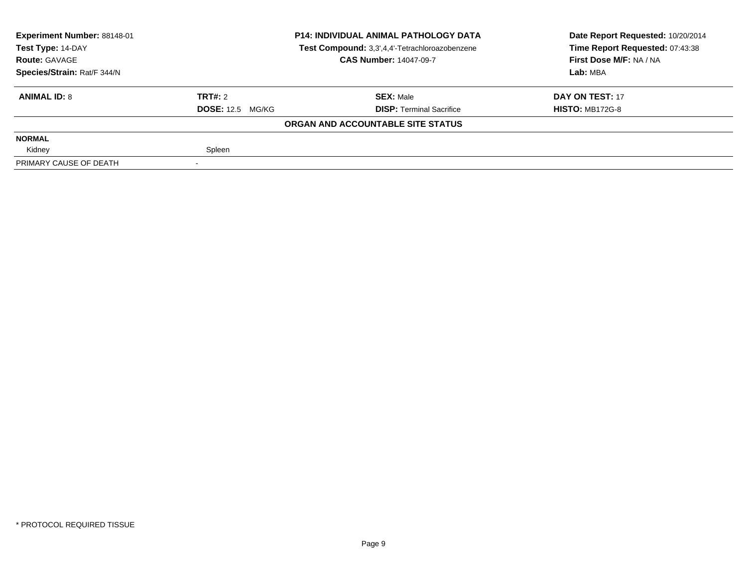| <b>Experiment Number: 88148-01</b> | <b>P14: INDIVIDUAL ANIMAL PATHOLOGY DATA</b> |                                                | Date Report Requested: 10/20/2014 |  |
|------------------------------------|----------------------------------------------|------------------------------------------------|-----------------------------------|--|
| Test Type: 14-DAY                  |                                              | Test Compound: 3,3',4,4'-Tetrachloroazobenzene | Time Report Requested: 07:43:38   |  |
| <b>Route: GAVAGE</b>               |                                              | <b>CAS Number: 14047-09-7</b>                  | First Dose M/F: NA / NA           |  |
| Species/Strain: Rat/F 344/N        |                                              |                                                | Lab: MBA                          |  |
| <b>ANIMAL ID: 8</b>                | TRT#: 2                                      | <b>SEX: Male</b>                               | DAY ON TEST: 17                   |  |
|                                    | <b>DOSE: 12.5 MG/KG</b>                      | <b>DISP: Terminal Sacrifice</b>                | <b>HISTO: MB172G-8</b>            |  |
|                                    |                                              | ORGAN AND ACCOUNTABLE SITE STATUS              |                                   |  |
| <b>NORMAL</b>                      |                                              |                                                |                                   |  |
| Kidney                             | Spleen                                       |                                                |                                   |  |
| PRIMARY CAUSE OF DEATH             |                                              |                                                |                                   |  |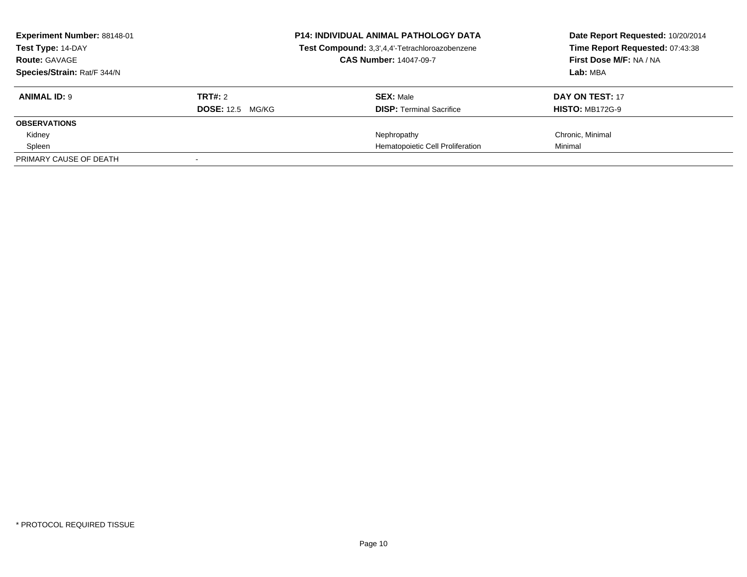| Experiment Number: 88148-01<br>Test Type: 14-DAY<br><b>Route: GAVAGE</b> |                         | <b>P14: INDIVIDUAL ANIMAL PATHOLOGY DATA</b><br>Test Compound: 3,3',4,4'-Tetrachloroazobenzene<br><b>CAS Number: 14047-09-7</b> | Date Report Requested: 10/20/2014<br>Time Report Requested: 07:43:38<br>First Dose M/F: NA / NA |
|--------------------------------------------------------------------------|-------------------------|---------------------------------------------------------------------------------------------------------------------------------|-------------------------------------------------------------------------------------------------|
| Species/Strain: Rat/F 344/N                                              |                         |                                                                                                                                 | Lab: MBA                                                                                        |
| <b>ANIMAL ID: 9</b>                                                      | TRT#: 2                 | <b>SEX: Male</b>                                                                                                                | DAY ON TEST: 17                                                                                 |
|                                                                          | <b>DOSE: 12.5 MG/KG</b> | <b>DISP:</b> Terminal Sacrifice                                                                                                 | <b>HISTO: MB172G-9</b>                                                                          |
| <b>OBSERVATIONS</b>                                                      |                         |                                                                                                                                 |                                                                                                 |
| Kidney                                                                   |                         | Nephropathy                                                                                                                     | Chronic, Minimal                                                                                |
| Spleen                                                                   |                         | Hematopoietic Cell Proliferation                                                                                                | Minimal                                                                                         |
| PRIMARY CAUSE OF DEATH                                                   |                         |                                                                                                                                 |                                                                                                 |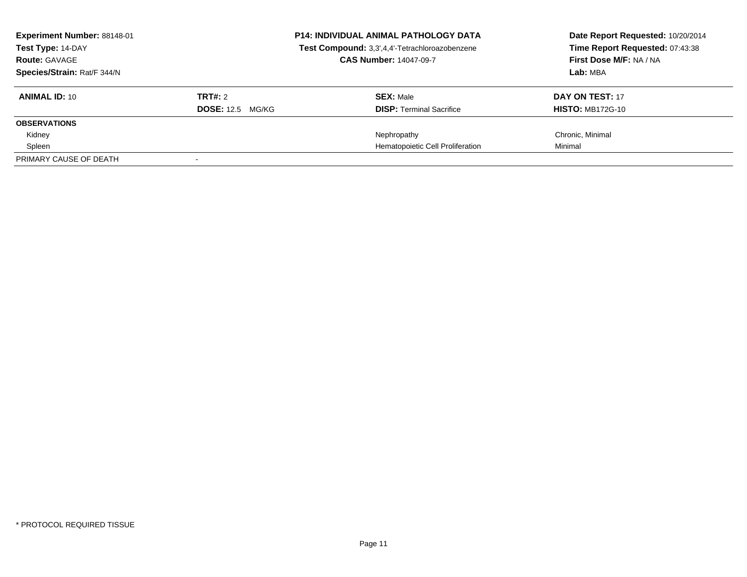| Experiment Number: 88148-01<br>Test Type: 14-DAY<br><b>Route: GAVAGE</b> |                         | <b>P14: INDIVIDUAL ANIMAL PATHOLOGY DATA</b><br>Test Compound: 3,3',4,4'-Tetrachloroazobenzene<br><b>CAS Number: 14047-09-7</b> | Date Report Requested: 10/20/2014<br>Time Report Requested: 07:43:38<br>First Dose M/F: NA / NA |
|--------------------------------------------------------------------------|-------------------------|---------------------------------------------------------------------------------------------------------------------------------|-------------------------------------------------------------------------------------------------|
| Species/Strain: Rat/F 344/N                                              |                         |                                                                                                                                 | Lab: MBA                                                                                        |
|                                                                          |                         |                                                                                                                                 |                                                                                                 |
| <b>ANIMAL ID: 10</b>                                                     | TRT#: 2                 | <b>SEX: Male</b>                                                                                                                | <b>DAY ON TEST: 17</b>                                                                          |
|                                                                          | <b>DOSE:</b> 12.5 MG/KG | <b>DISP:</b> Terminal Sacrifice                                                                                                 | <b>HISTO: MB172G-10</b>                                                                         |
| <b>OBSERVATIONS</b>                                                      |                         |                                                                                                                                 |                                                                                                 |
| Kidney                                                                   |                         | Nephropathy                                                                                                                     | Chronic, Minimal                                                                                |
| Spleen                                                                   |                         | Hematopoietic Cell Proliferation                                                                                                | Minimal                                                                                         |
| PRIMARY CAUSE OF DEATH                                                   |                         |                                                                                                                                 |                                                                                                 |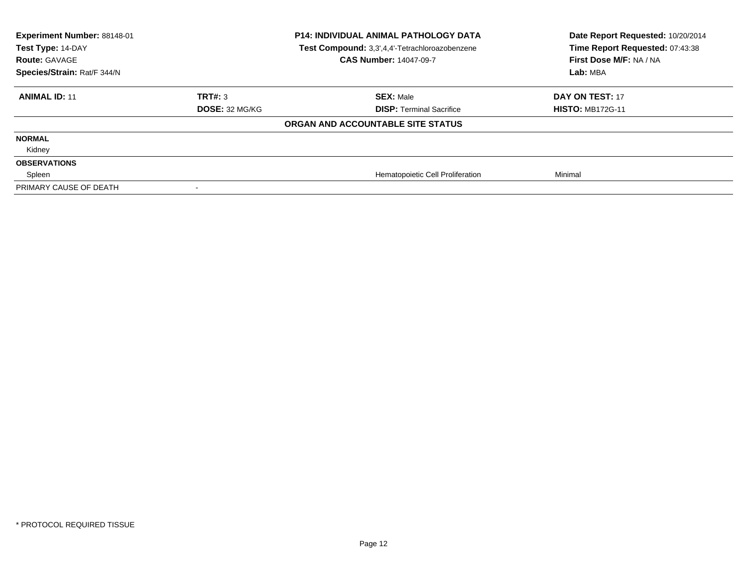| Experiment Number: 88148-01<br>Test Type: 14-DAY<br><b>Route: GAVAGE</b><br>Species/Strain: Rat/F 344/N |                | <b>P14: INDIVIDUAL ANIMAL PATHOLOGY DATA</b><br>Test Compound: 3,3',4,4'-Tetrachloroazobenzene<br><b>CAS Number: 14047-09-7</b> | Date Report Requested: 10/20/2014<br>Time Report Requested: 07:43:38<br>First Dose M/F: NA / NA<br>Lab: MBA |
|---------------------------------------------------------------------------------------------------------|----------------|---------------------------------------------------------------------------------------------------------------------------------|-------------------------------------------------------------------------------------------------------------|
| <b>ANIMAL ID: 11</b>                                                                                    | TRT#: 3        | <b>SEX: Male</b>                                                                                                                | <b>DAY ON TEST: 17</b>                                                                                      |
|                                                                                                         | DOSE: 32 MG/KG | <b>DISP: Terminal Sacrifice</b>                                                                                                 | <b>HISTO: MB172G-11</b>                                                                                     |
|                                                                                                         |                | ORGAN AND ACCOUNTABLE SITE STATUS                                                                                               |                                                                                                             |
| <b>NORMAL</b>                                                                                           |                |                                                                                                                                 |                                                                                                             |
| Kidney                                                                                                  |                |                                                                                                                                 |                                                                                                             |
| <b>OBSERVATIONS</b>                                                                                     |                |                                                                                                                                 |                                                                                                             |
| Spleen                                                                                                  |                | Hematopoietic Cell Proliferation                                                                                                | Minimal                                                                                                     |
| PRIMARY CAUSE OF DEATH                                                                                  |                |                                                                                                                                 |                                                                                                             |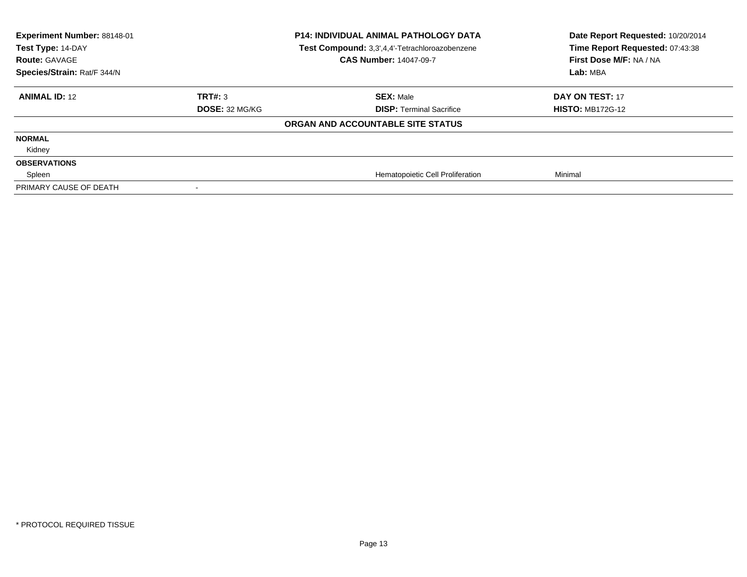| Experiment Number: 88148-01<br>Test Type: 14-DAY<br><b>Route: GAVAGE</b><br>Species/Strain: Rat/F 344/N | <b>P14: INDIVIDUAL ANIMAL PATHOLOGY DATA</b><br>Test Compound: 3,3',4,4'-Tetrachloroazobenzene<br><b>CAS Number: 14047-09-7</b> |                                   | Date Report Requested: 10/20/2014<br>Time Report Requested: 07:43:38<br>First Dose M/F: NA / NA<br>Lab: MBA |
|---------------------------------------------------------------------------------------------------------|---------------------------------------------------------------------------------------------------------------------------------|-----------------------------------|-------------------------------------------------------------------------------------------------------------|
| <b>ANIMAL ID: 12</b>                                                                                    | TRT#: 3                                                                                                                         | <b>SEX: Male</b>                  | DAY ON TEST: 17                                                                                             |
|                                                                                                         | <b>DOSE: 32 MG/KG</b>                                                                                                           | <b>DISP: Terminal Sacrifice</b>   | <b>HISTO: MB172G-12</b>                                                                                     |
|                                                                                                         |                                                                                                                                 | ORGAN AND ACCOUNTABLE SITE STATUS |                                                                                                             |
| <b>NORMAL</b>                                                                                           |                                                                                                                                 |                                   |                                                                                                             |
| Kidney                                                                                                  |                                                                                                                                 |                                   |                                                                                                             |
| <b>OBSERVATIONS</b>                                                                                     |                                                                                                                                 |                                   |                                                                                                             |
| Spleen                                                                                                  |                                                                                                                                 | Hematopoietic Cell Proliferation  | Minimal                                                                                                     |
| PRIMARY CAUSE OF DEATH                                                                                  |                                                                                                                                 |                                   |                                                                                                             |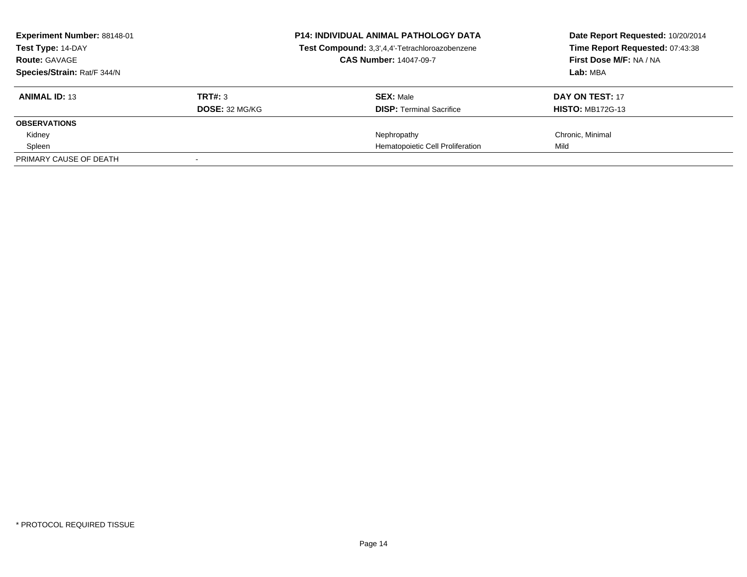| Experiment Number: 88148-01<br>Test Type: 14-DAY<br><b>Route: GAVAGE</b> |                | <b>P14: INDIVIDUAL ANIMAL PATHOLOGY DATA</b><br>Test Compound: 3,3',4,4'-Tetrachloroazobenzene<br><b>CAS Number: 14047-09-7</b> | Date Report Requested: 10/20/2014<br>Time Report Requested: 07:43:38<br>First Dose M/F: NA / NA |
|--------------------------------------------------------------------------|----------------|---------------------------------------------------------------------------------------------------------------------------------|-------------------------------------------------------------------------------------------------|
| Species/Strain: Rat/F 344/N                                              |                |                                                                                                                                 | Lab: MBA                                                                                        |
| <b>ANIMAL ID: 13</b>                                                     | TRT#: 3        | <b>SEX: Male</b>                                                                                                                | DAY ON TEST: 17                                                                                 |
|                                                                          | DOSE: 32 MG/KG | <b>DISP:</b> Terminal Sacrifice                                                                                                 | <b>HISTO: MB172G-13</b>                                                                         |
| <b>OBSERVATIONS</b>                                                      |                |                                                                                                                                 |                                                                                                 |
| Kidney                                                                   |                | Nephropathy                                                                                                                     | Chronic, Minimal                                                                                |
| Spleen                                                                   |                | Hematopoietic Cell Proliferation                                                                                                | Mild                                                                                            |
| PRIMARY CAUSE OF DEATH                                                   |                |                                                                                                                                 |                                                                                                 |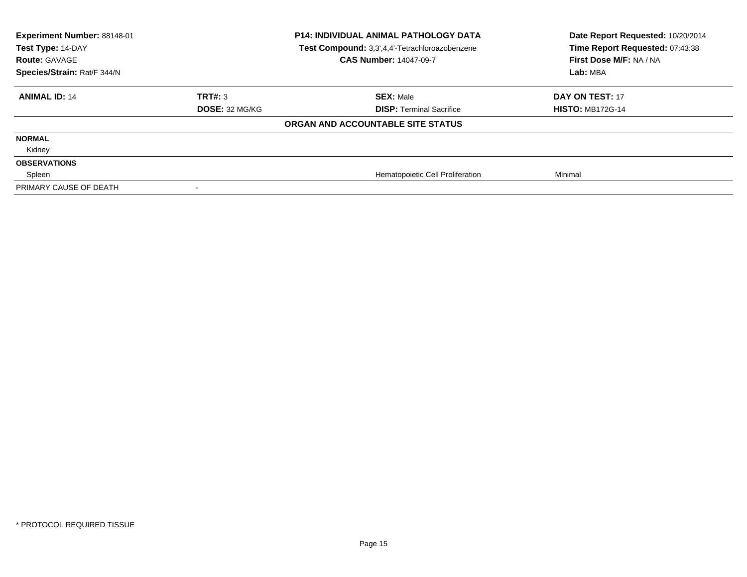| Experiment Number: 88148-01<br>Test Type: 14-DAY<br><b>Route: GAVAGE</b><br>Species/Strain: Rat/F 344/N | <b>P14: INDIVIDUAL ANIMAL PATHOLOGY DATA</b><br>Test Compound: 3,3',4,4'-Tetrachloroazobenzene<br><b>CAS Number: 14047-09-7</b> |                                   | Date Report Requested: 10/20/2014<br>Time Report Requested: 07:43:38<br>First Dose M/F: NA / NA<br>Lab: MBA |
|---------------------------------------------------------------------------------------------------------|---------------------------------------------------------------------------------------------------------------------------------|-----------------------------------|-------------------------------------------------------------------------------------------------------------|
| <b>ANIMAL ID: 14</b>                                                                                    | TRT#: 3                                                                                                                         | <b>SEX: Male</b>                  | <b>DAY ON TEST: 17</b>                                                                                      |
|                                                                                                         | DOSE: 32 MG/KG                                                                                                                  | <b>DISP: Terminal Sacrifice</b>   | <b>HISTO: MB172G-14</b>                                                                                     |
|                                                                                                         |                                                                                                                                 | ORGAN AND ACCOUNTABLE SITE STATUS |                                                                                                             |
| <b>NORMAL</b>                                                                                           |                                                                                                                                 |                                   |                                                                                                             |
| Kidney                                                                                                  |                                                                                                                                 |                                   |                                                                                                             |
| <b>OBSERVATIONS</b>                                                                                     |                                                                                                                                 |                                   |                                                                                                             |
| Spleen                                                                                                  |                                                                                                                                 | Hematopoietic Cell Proliferation  | Minimal                                                                                                     |
| PRIMARY CAUSE OF DEATH                                                                                  |                                                                                                                                 |                                   |                                                                                                             |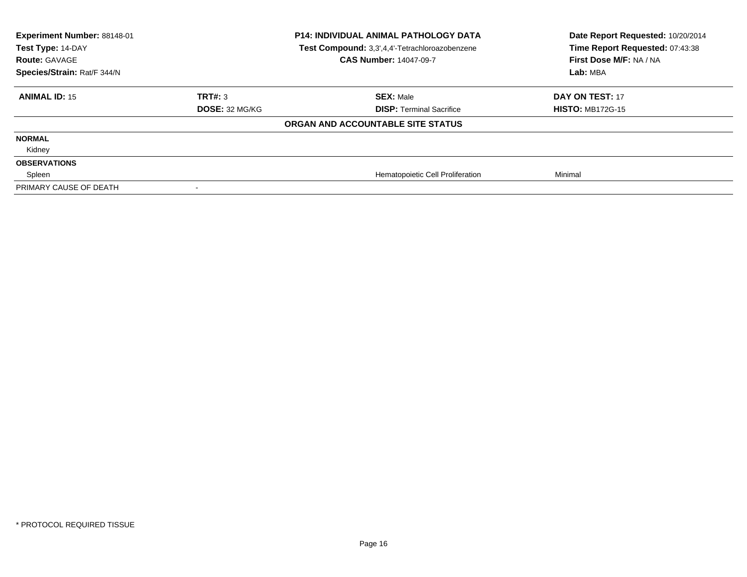| Experiment Number: 88148-01<br>Test Type: 14-DAY<br><b>Route: GAVAGE</b><br>Species/Strain: Rat/F 344/N | <b>P14: INDIVIDUAL ANIMAL PATHOLOGY DATA</b><br>Test Compound: 3,3',4,4'-Tetrachloroazobenzene<br><b>CAS Number: 14047-09-7</b> |                                   | Date Report Requested: 10/20/2014<br>Time Report Requested: 07:43:38<br>First Dose M/F: NA / NA<br>Lab: MBA |
|---------------------------------------------------------------------------------------------------------|---------------------------------------------------------------------------------------------------------------------------------|-----------------------------------|-------------------------------------------------------------------------------------------------------------|
| <b>ANIMAL ID: 15</b>                                                                                    | TRT#: 3                                                                                                                         | <b>SEX: Male</b>                  | DAY ON TEST: 17                                                                                             |
|                                                                                                         | <b>DOSE: 32 MG/KG</b>                                                                                                           | <b>DISP: Terminal Sacrifice</b>   | <b>HISTO: MB172G-15</b>                                                                                     |
|                                                                                                         |                                                                                                                                 | ORGAN AND ACCOUNTABLE SITE STATUS |                                                                                                             |
| <b>NORMAL</b>                                                                                           |                                                                                                                                 |                                   |                                                                                                             |
| Kidney                                                                                                  |                                                                                                                                 |                                   |                                                                                                             |
| <b>OBSERVATIONS</b>                                                                                     |                                                                                                                                 |                                   |                                                                                                             |
| Spleen                                                                                                  |                                                                                                                                 | Hematopoietic Cell Proliferation  | Minimal                                                                                                     |
| PRIMARY CAUSE OF DEATH                                                                                  |                                                                                                                                 |                                   |                                                                                                             |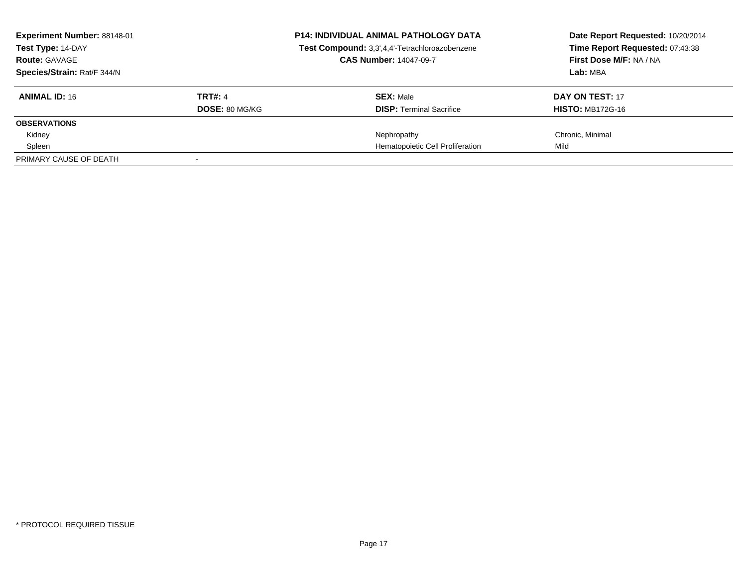| Experiment Number: 88148-01<br>Test Type: 14-DAY<br><b>Route: GAVAGE</b> |                | <b>P14: INDIVIDUAL ANIMAL PATHOLOGY DATA</b><br>Test Compound: 3,3',4,4'-Tetrachloroazobenzene<br><b>CAS Number: 14047-09-7</b> | Date Report Requested: 10/20/2014<br>Time Report Requested: 07:43:38<br>First Dose M/F: NA / NA |  |
|--------------------------------------------------------------------------|----------------|---------------------------------------------------------------------------------------------------------------------------------|-------------------------------------------------------------------------------------------------|--|
| Species/Strain: Rat/F 344/N                                              |                |                                                                                                                                 | Lab: MBA                                                                                        |  |
| <b>ANIMAL ID: 16</b>                                                     | <b>TRT#: 4</b> | <b>SEX: Male</b>                                                                                                                | <b>DAY ON TEST: 17</b>                                                                          |  |
|                                                                          | DOSE: 80 MG/KG | <b>DISP:</b> Terminal Sacrifice                                                                                                 | <b>HISTO: MB172G-16</b>                                                                         |  |
| <b>OBSERVATIONS</b>                                                      |                |                                                                                                                                 |                                                                                                 |  |
| Kidney                                                                   |                | Nephropathy                                                                                                                     | Chronic, Minimal                                                                                |  |
| Spleen                                                                   |                | Hematopoietic Cell Proliferation                                                                                                | Mild                                                                                            |  |
| PRIMARY CAUSE OF DEATH                                                   |                |                                                                                                                                 |                                                                                                 |  |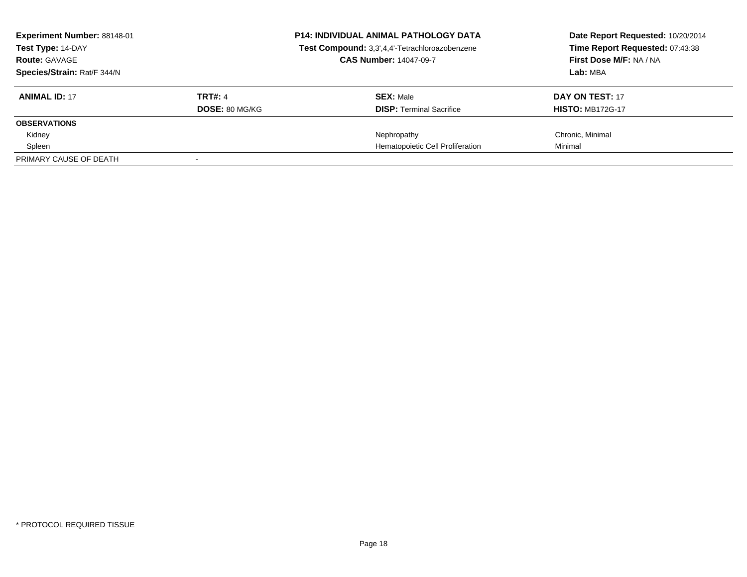| Experiment Number: 88148-01<br>Test Type: 14-DAY<br><b>Route: GAVAGE</b> |                | <b>P14: INDIVIDUAL ANIMAL PATHOLOGY DATA</b><br>Test Compound: 3,3',4,4'-Tetrachloroazobenzene<br><b>CAS Number: 14047-09-7</b> | Date Report Requested: 10/20/2014<br>Time Report Requested: 07:43:38<br>First Dose M/F: NA / NA |
|--------------------------------------------------------------------------|----------------|---------------------------------------------------------------------------------------------------------------------------------|-------------------------------------------------------------------------------------------------|
| Species/Strain: Rat/F 344/N                                              |                |                                                                                                                                 | Lab: MBA                                                                                        |
| <b>ANIMAL ID: 17</b>                                                     | <b>TRT#: 4</b> | <b>SEX: Male</b>                                                                                                                | DAY ON TEST: 17                                                                                 |
|                                                                          | DOSE: 80 MG/KG | <b>DISP:</b> Terminal Sacrifice                                                                                                 | <b>HISTO: MB172G-17</b>                                                                         |
| <b>OBSERVATIONS</b>                                                      |                |                                                                                                                                 |                                                                                                 |
| Kidney                                                                   |                | Nephropathy                                                                                                                     | Chronic, Minimal                                                                                |
| Spleen                                                                   |                | Hematopoietic Cell Proliferation                                                                                                | Minimal                                                                                         |
| PRIMARY CAUSE OF DEATH                                                   |                |                                                                                                                                 |                                                                                                 |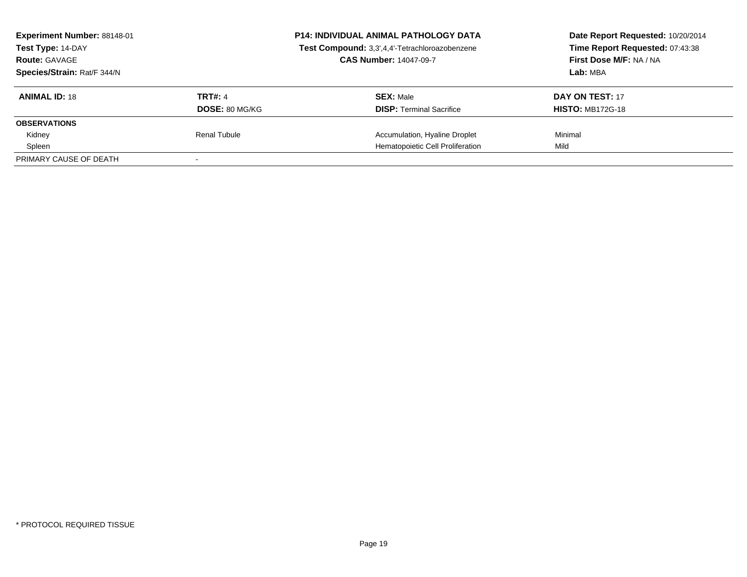| Experiment Number: 88148-01<br>Test Type: 14-DAY<br><b>Route: GAVAGE</b><br>Species/Strain: Rat/F 344/N |                | <b>P14: INDIVIDUAL ANIMAL PATHOLOGY DATA</b>   | Date Report Requested: 10/20/2014<br>Time Report Requested: 07:43:38 |
|---------------------------------------------------------------------------------------------------------|----------------|------------------------------------------------|----------------------------------------------------------------------|
|                                                                                                         |                | Test Compound: 3,3',4,4'-Tetrachloroazobenzene |                                                                      |
|                                                                                                         |                | <b>CAS Number: 14047-09-7</b>                  | First Dose M/F: NA / NA                                              |
|                                                                                                         |                |                                                | Lab: MBA                                                             |
| <b>ANIMAL ID: 18</b>                                                                                    | <b>TRT#: 4</b> | <b>SEX: Male</b>                               | DAY ON TEST: 17                                                      |
|                                                                                                         | DOSE: 80 MG/KG | <b>DISP:</b> Terminal Sacrifice                | <b>HISTO: MB172G-18</b>                                              |
| <b>OBSERVATIONS</b>                                                                                     |                |                                                |                                                                      |
| Kidney                                                                                                  | Renal Tubule   | Accumulation, Hyaline Droplet                  | Minimal                                                              |
| Spleen                                                                                                  |                | Hematopoietic Cell Proliferation               | Mild                                                                 |
| PRIMARY CAUSE OF DEATH                                                                                  |                |                                                |                                                                      |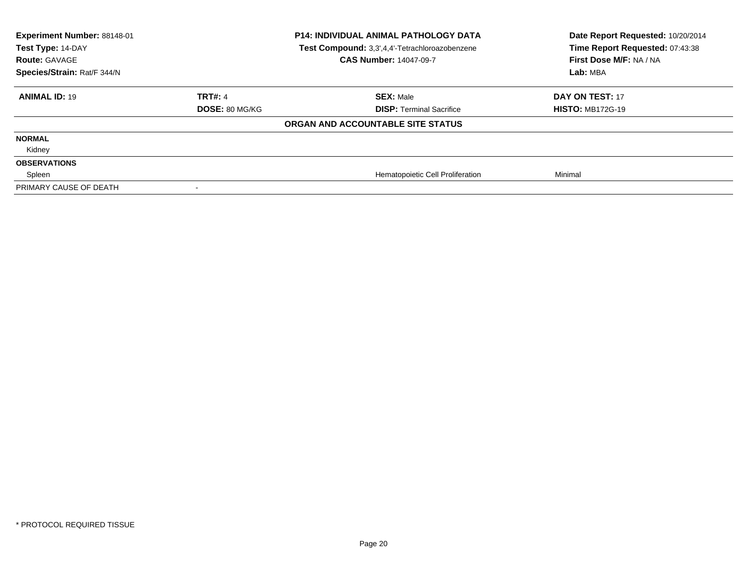| Experiment Number: 88148-01<br>Test Type: 14-DAY<br><b>Route: GAVAGE</b><br>Species/Strain: Rat/F 344/N | <b>P14: INDIVIDUAL ANIMAL PATHOLOGY DATA</b><br>Test Compound: 3,3',4,4'-Tetrachloroazobenzene<br><b>CAS Number: 14047-09-7</b> |                                   | Date Report Requested: 10/20/2014<br>Time Report Requested: 07:43:38<br>First Dose M/F: NA / NA<br>Lab: MBA |
|---------------------------------------------------------------------------------------------------------|---------------------------------------------------------------------------------------------------------------------------------|-----------------------------------|-------------------------------------------------------------------------------------------------------------|
| <b>ANIMAL ID: 19</b>                                                                                    | <b>TRT#: 4</b>                                                                                                                  | <b>SEX: Male</b>                  | <b>DAY ON TEST: 17</b>                                                                                      |
|                                                                                                         | DOSE: 80 MG/KG                                                                                                                  | <b>DISP: Terminal Sacrifice</b>   | <b>HISTO: MB172G-19</b>                                                                                     |
|                                                                                                         |                                                                                                                                 | ORGAN AND ACCOUNTABLE SITE STATUS |                                                                                                             |
| <b>NORMAL</b>                                                                                           |                                                                                                                                 |                                   |                                                                                                             |
| Kidney                                                                                                  |                                                                                                                                 |                                   |                                                                                                             |
| <b>OBSERVATIONS</b>                                                                                     |                                                                                                                                 |                                   |                                                                                                             |
| Spleen                                                                                                  |                                                                                                                                 | Hematopoietic Cell Proliferation  | Minimal                                                                                                     |
| PRIMARY CAUSE OF DEATH                                                                                  |                                                                                                                                 |                                   |                                                                                                             |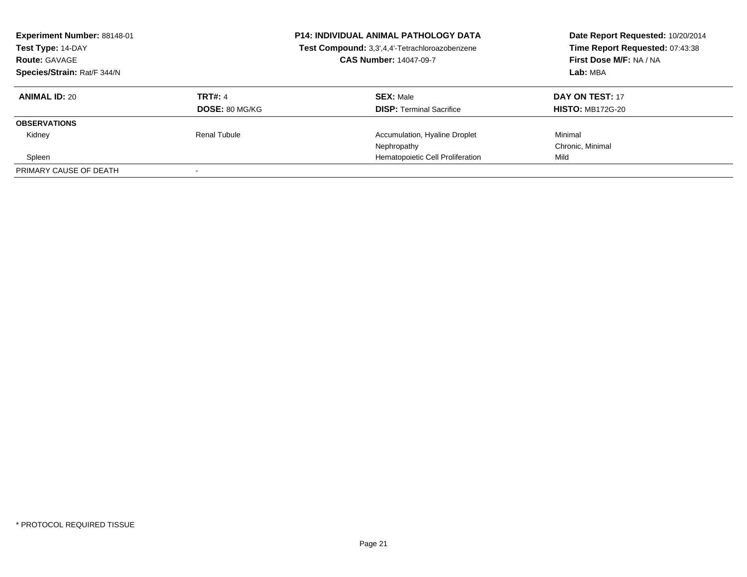| <b>Experiment Number: 88148-01</b><br>Test Type: 14-DAY<br><b>Route: GAVAGE</b><br>Species/Strain: Rat/F 344/N |                     | <b>P14: INDIVIDUAL ANIMAL PATHOLOGY DATA</b><br>Test Compound: 3,3',4,4'-Tetrachloroazobenzene<br><b>CAS Number: 14047-09-7</b> | Date Report Requested: 10/20/2014<br>Time Report Requested: 07:43:38<br>First Dose M/F: NA / NA<br>Lab: MBA |
|----------------------------------------------------------------------------------------------------------------|---------------------|---------------------------------------------------------------------------------------------------------------------------------|-------------------------------------------------------------------------------------------------------------|
| <b>ANIMAL ID: 20</b>                                                                                           | <b>TRT#: 4</b>      | <b>SEX: Male</b>                                                                                                                | DAY ON TEST: 17                                                                                             |
|                                                                                                                | DOSE: 80 MG/KG      | <b>DISP:</b> Terminal Sacrifice                                                                                                 | <b>HISTO: MB172G-20</b>                                                                                     |
| <b>OBSERVATIONS</b>                                                                                            |                     |                                                                                                                                 |                                                                                                             |
| Kidney                                                                                                         | <b>Renal Tubule</b> | Accumulation, Hyaline Droplet                                                                                                   | Minimal                                                                                                     |
|                                                                                                                |                     | Nephropathy                                                                                                                     | Chronic, Minimal                                                                                            |
| Spleen                                                                                                         |                     | Hematopoietic Cell Proliferation                                                                                                | Mild                                                                                                        |
| PRIMARY CAUSE OF DEATH                                                                                         |                     |                                                                                                                                 |                                                                                                             |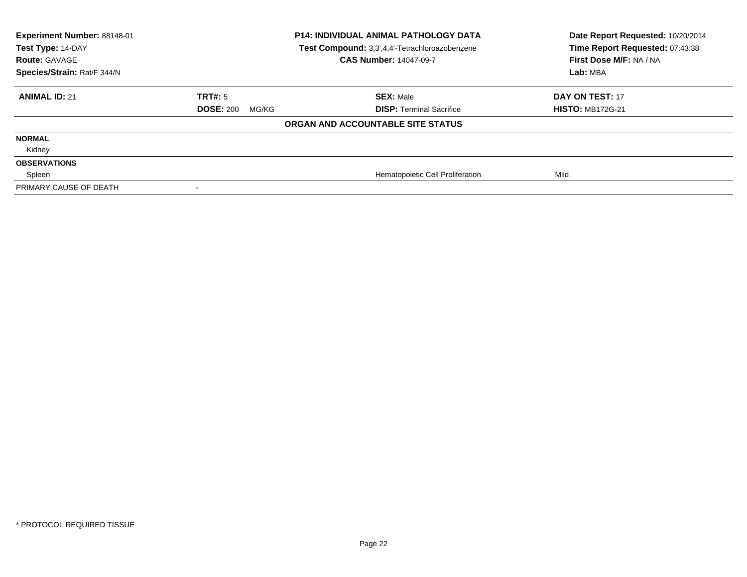| Experiment Number: 88148-01<br>Test Type: 14-DAY<br><b>Route: GAVAGE</b><br>Species/Strain: Rat/F 344/N | <b>P14: INDIVIDUAL ANIMAL PATHOLOGY DATA</b><br>Test Compound: 3,3',4,4'-Tetrachloroazobenzene<br><b>CAS Number: 14047-09-7</b> |                                   | Date Report Requested: 10/20/2014<br>Time Report Requested: 07:43:38<br>First Dose M/F: NA / NA<br>Lab: MBA |
|---------------------------------------------------------------------------------------------------------|---------------------------------------------------------------------------------------------------------------------------------|-----------------------------------|-------------------------------------------------------------------------------------------------------------|
| <b>ANIMAL ID: 21</b>                                                                                    | TRT#: 5                                                                                                                         | <b>SEX: Male</b>                  | DAY ON TEST: 17                                                                                             |
|                                                                                                         | <b>DOSE: 200</b><br>MG/KG                                                                                                       | <b>DISP: Terminal Sacrifice</b>   | <b>HISTO: MB172G-21</b>                                                                                     |
|                                                                                                         |                                                                                                                                 | ORGAN AND ACCOUNTABLE SITE STATUS |                                                                                                             |
| <b>NORMAL</b>                                                                                           |                                                                                                                                 |                                   |                                                                                                             |
| Kidney                                                                                                  |                                                                                                                                 |                                   |                                                                                                             |
| <b>OBSERVATIONS</b>                                                                                     |                                                                                                                                 |                                   |                                                                                                             |
| Spleen                                                                                                  |                                                                                                                                 | Hematopoietic Cell Proliferation  | Mild                                                                                                        |
| PRIMARY CAUSE OF DEATH                                                                                  |                                                                                                                                 |                                   |                                                                                                             |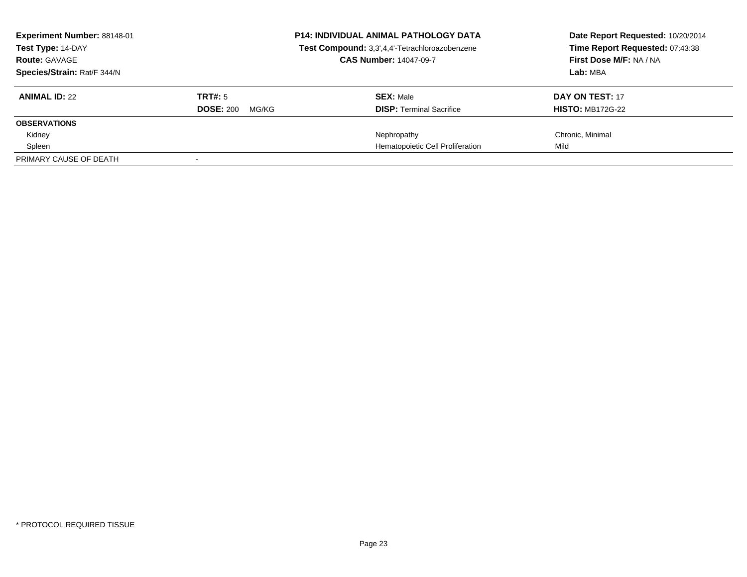| Experiment Number: 88148-01<br>Test Type: 14-DAY<br><b>Route: GAVAGE</b><br>Species/Strain: Rat/F 344/N |                                      | <b>P14: INDIVIDUAL ANIMAL PATHOLOGY DATA</b><br>Test Compound: 3,3',4,4'-Tetrachloroazobenzene<br><b>CAS Number: 14047-09-7</b> | Date Report Requested: 10/20/2014<br>Time Report Requested: 07:43:38<br>First Dose M/F: NA / NA<br>Lab: MBA |
|---------------------------------------------------------------------------------------------------------|--------------------------------------|---------------------------------------------------------------------------------------------------------------------------------|-------------------------------------------------------------------------------------------------------------|
| <b>ANIMAL ID: 22</b>                                                                                    | TRT#: 5<br><b>DOSE: 200</b><br>MG/KG | <b>SEX: Male</b><br><b>DISP:</b> Terminal Sacrifice                                                                             | DAY ON TEST: 17<br><b>HISTO: MB172G-22</b>                                                                  |
| <b>OBSERVATIONS</b>                                                                                     |                                      |                                                                                                                                 |                                                                                                             |
| Kidney                                                                                                  |                                      | Nephropathy                                                                                                                     | Chronic, Minimal                                                                                            |
| Spleen                                                                                                  |                                      | Hematopoietic Cell Proliferation                                                                                                | Mild                                                                                                        |
| PRIMARY CAUSE OF DEATH                                                                                  |                                      |                                                                                                                                 |                                                                                                             |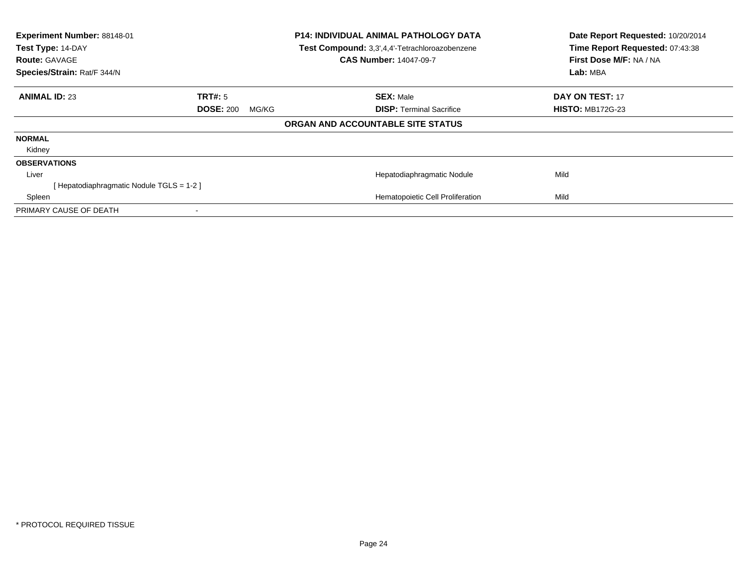| Experiment Number: 88148-01<br>Test Type: 14-DAY |                           | P14: INDIVIDUAL ANIMAL PATHOLOGY DATA          | Date Report Requested: 10/20/2014<br>Time Report Requested: 07:43:38 |
|--------------------------------------------------|---------------------------|------------------------------------------------|----------------------------------------------------------------------|
|                                                  |                           | Test Compound: 3,3',4,4'-Tetrachloroazobenzene |                                                                      |
| <b>Route: GAVAGE</b>                             |                           | <b>CAS Number: 14047-09-7</b>                  | First Dose M/F: NA / NA                                              |
| Species/Strain: Rat/F 344/N                      |                           |                                                | Lab: MBA                                                             |
| <b>ANIMAL ID: 23</b>                             | TRT#: 5                   | <b>SEX: Male</b>                               | <b>DAY ON TEST: 17</b>                                               |
|                                                  | <b>DOSE: 200</b><br>MG/KG | <b>DISP:</b> Terminal Sacrifice                | <b>HISTO: MB172G-23</b>                                              |
|                                                  |                           | ORGAN AND ACCOUNTABLE SITE STATUS              |                                                                      |
| <b>NORMAL</b>                                    |                           |                                                |                                                                      |
| Kidney                                           |                           |                                                |                                                                      |
| <b>OBSERVATIONS</b>                              |                           |                                                |                                                                      |
| Liver                                            |                           | Hepatodiaphragmatic Nodule                     | Mild                                                                 |
| [Hepatodiaphragmatic Nodule TGLS = 1-2]          |                           |                                                |                                                                      |
| Spleen                                           |                           | Hematopoietic Cell Proliferation               | Mild                                                                 |
| PRIMARY CAUSE OF DEATH                           |                           |                                                |                                                                      |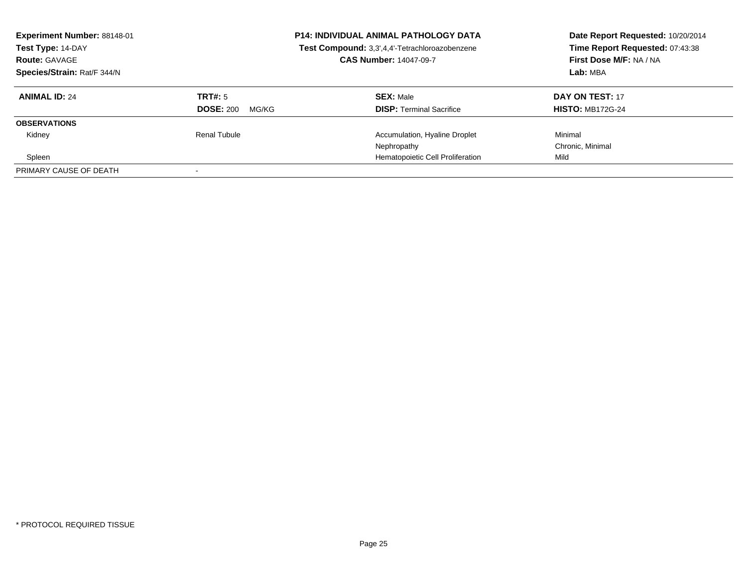| <b>Experiment Number: 88148-01</b><br>Test Type: 14-DAY<br><b>Route: GAVAGE</b><br>Species/Strain: Rat/F 344/N |                           | <b>P14: INDIVIDUAL ANIMAL PATHOLOGY DATA</b><br>Test Compound: 3,3',4,4'-Tetrachloroazobenzene<br><b>CAS Number: 14047-09-7</b> | Date Report Requested: 10/20/2014<br>Time Report Requested: 07:43:38<br>First Dose M/F: NA / NA<br>Lab: MBA |
|----------------------------------------------------------------------------------------------------------------|---------------------------|---------------------------------------------------------------------------------------------------------------------------------|-------------------------------------------------------------------------------------------------------------|
| <b>ANIMAL ID: 24</b>                                                                                           | TRT#: 5                   | <b>SEX: Male</b>                                                                                                                | DAY ON TEST: 17                                                                                             |
|                                                                                                                | <b>DOSE: 200</b><br>MG/KG | <b>DISP:</b> Terminal Sacrifice                                                                                                 | <b>HISTO: MB172G-24</b>                                                                                     |
| <b>OBSERVATIONS</b>                                                                                            |                           |                                                                                                                                 |                                                                                                             |
| Kidney                                                                                                         | Renal Tubule              | Accumulation, Hyaline Droplet                                                                                                   | Minimal                                                                                                     |
|                                                                                                                |                           | Nephropathy                                                                                                                     | Chronic, Minimal                                                                                            |
| Spleen                                                                                                         |                           | Hematopoietic Cell Proliferation                                                                                                | Mild                                                                                                        |
| PRIMARY CAUSE OF DEATH                                                                                         |                           |                                                                                                                                 |                                                                                                             |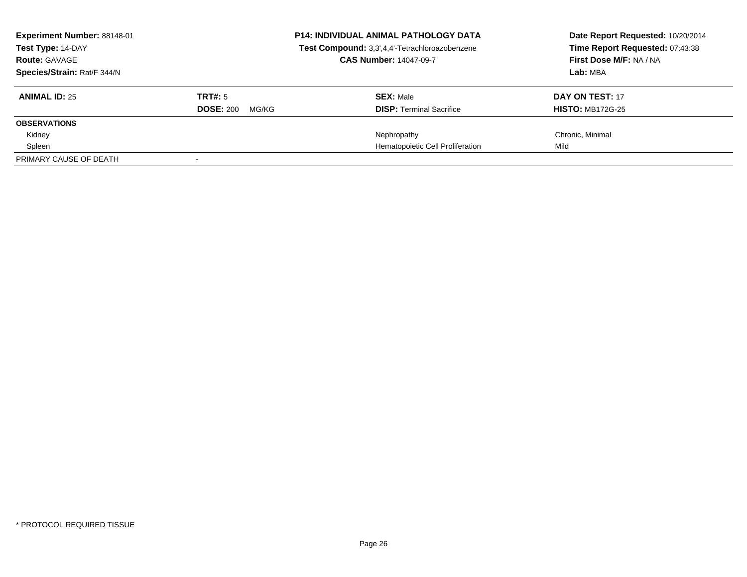| Experiment Number: 88148-01<br>Test Type: 14-DAY<br><b>Route: GAVAGE</b> |                           | <b>P14: INDIVIDUAL ANIMAL PATHOLOGY DATA</b><br>Test Compound: 3,3',4,4'-Tetrachloroazobenzene<br><b>CAS Number: 14047-09-7</b> | Date Report Requested: 10/20/2014<br>Time Report Requested: 07:43:38<br>First Dose M/F: NA / NA |
|--------------------------------------------------------------------------|---------------------------|---------------------------------------------------------------------------------------------------------------------------------|-------------------------------------------------------------------------------------------------|
| Species/Strain: Rat/F 344/N                                              |                           |                                                                                                                                 | Lab: MBA                                                                                        |
| <b>ANIMAL ID: 25</b>                                                     | TRT#: 5                   | <b>SEX: Male</b>                                                                                                                | <b>DAY ON TEST: 17</b>                                                                          |
|                                                                          | <b>DOSE: 200</b><br>MG/KG | <b>DISP:</b> Terminal Sacrifice                                                                                                 | <b>HISTO: MB172G-25</b>                                                                         |
| <b>OBSERVATIONS</b>                                                      |                           |                                                                                                                                 |                                                                                                 |
| Kidney                                                                   |                           | Nephropathy                                                                                                                     | Chronic, Minimal                                                                                |
| Spleen                                                                   |                           | Hematopoietic Cell Proliferation                                                                                                | Mild                                                                                            |
| PRIMARY CAUSE OF DEATH                                                   |                           |                                                                                                                                 |                                                                                                 |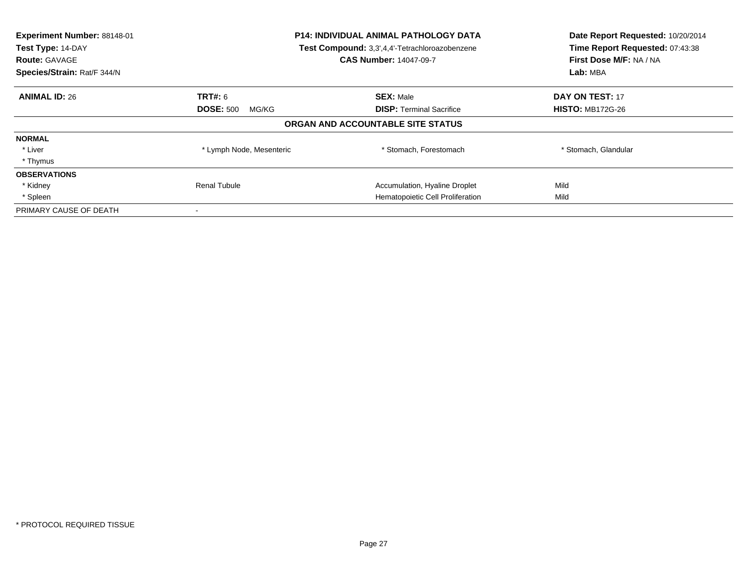| Experiment Number: 88148-01<br>Test Type: 14-DAY<br><b>Route: GAVAGE</b><br>Species/Strain: Rat/F 344/N | <b>P14: INDIVIDUAL ANIMAL PATHOLOGY DATA</b><br>Test Compound: 3,3',4,4'-Tetrachloroazobenzene<br><b>CAS Number: 14047-09-7</b> |                                   | Date Report Requested: 10/20/2014<br>Time Report Requested: 07:43:38<br>First Dose M/F: NA / NA<br>Lab: MBA |
|---------------------------------------------------------------------------------------------------------|---------------------------------------------------------------------------------------------------------------------------------|-----------------------------------|-------------------------------------------------------------------------------------------------------------|
| <b>ANIMAL ID: 26</b>                                                                                    | TRT#: 6                                                                                                                         | <b>SEX: Male</b>                  | DAY ON TEST: 17                                                                                             |
|                                                                                                         | <b>DOSE: 500</b><br>MG/KG                                                                                                       | <b>DISP:</b> Terminal Sacrifice   | <b>HISTO: MB172G-26</b>                                                                                     |
|                                                                                                         |                                                                                                                                 | ORGAN AND ACCOUNTABLE SITE STATUS |                                                                                                             |
| <b>NORMAL</b>                                                                                           |                                                                                                                                 |                                   |                                                                                                             |
| * Liver                                                                                                 | * Lymph Node, Mesenteric                                                                                                        | * Stomach, Forestomach            | * Stomach, Glandular                                                                                        |
| * Thymus                                                                                                |                                                                                                                                 |                                   |                                                                                                             |
| <b>OBSERVATIONS</b>                                                                                     |                                                                                                                                 |                                   |                                                                                                             |
| * Kidney                                                                                                | <b>Renal Tubule</b>                                                                                                             | Accumulation, Hyaline Droplet     | Mild                                                                                                        |
| * Spleen                                                                                                |                                                                                                                                 | Hematopoietic Cell Proliferation  | Mild                                                                                                        |
| PRIMARY CAUSE OF DEATH                                                                                  |                                                                                                                                 |                                   |                                                                                                             |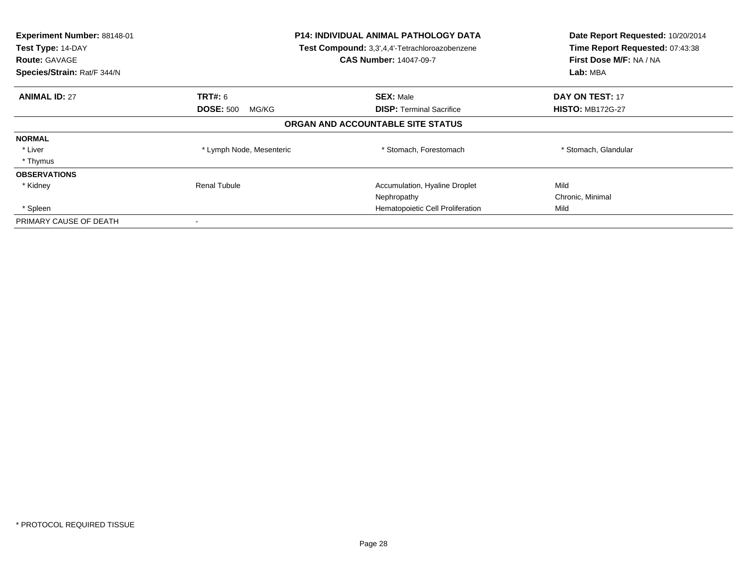| Experiment Number: 88148-01<br>Test Type: 14-DAY<br><b>Route: GAVAGE</b><br>Species/Strain: Rat/F 344/N | <b>P14: INDIVIDUAL ANIMAL PATHOLOGY DATA</b><br>Test Compound: 3,3',4,4'-Tetrachloroazobenzene<br><b>CAS Number: 14047-09-7</b> |                                   | Date Report Requested: 10/20/2014<br>Time Report Requested: 07:43:38<br>First Dose M/F: NA / NA<br>Lab: MBA |
|---------------------------------------------------------------------------------------------------------|---------------------------------------------------------------------------------------------------------------------------------|-----------------------------------|-------------------------------------------------------------------------------------------------------------|
| <b>ANIMAL ID: 27</b>                                                                                    | <b>TRT#: 6</b>                                                                                                                  | <b>SEX: Male</b>                  | <b>DAY ON TEST: 17</b>                                                                                      |
|                                                                                                         | <b>DOSE: 500</b><br>MG/KG                                                                                                       | <b>DISP:</b> Terminal Sacrifice   | <b>HISTO: MB172G-27</b>                                                                                     |
|                                                                                                         |                                                                                                                                 | ORGAN AND ACCOUNTABLE SITE STATUS |                                                                                                             |
| <b>NORMAL</b>                                                                                           |                                                                                                                                 |                                   |                                                                                                             |
| * Liver                                                                                                 | * Lymph Node, Mesenteric                                                                                                        | * Stomach, Forestomach            | * Stomach, Glandular                                                                                        |
| * Thymus                                                                                                |                                                                                                                                 |                                   |                                                                                                             |
| <b>OBSERVATIONS</b>                                                                                     |                                                                                                                                 |                                   |                                                                                                             |
| * Kidney                                                                                                | <b>Renal Tubule</b>                                                                                                             | Accumulation, Hyaline Droplet     | Mild                                                                                                        |
|                                                                                                         |                                                                                                                                 | Nephropathy                       | Chronic, Minimal                                                                                            |
| * Spleen                                                                                                |                                                                                                                                 | Hematopoietic Cell Proliferation  | Mild                                                                                                        |
| PRIMARY CAUSE OF DEATH                                                                                  |                                                                                                                                 |                                   |                                                                                                             |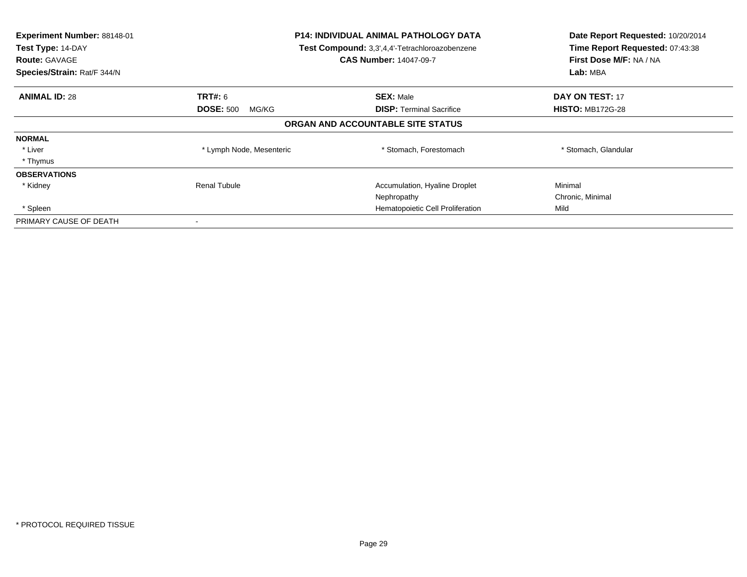| Experiment Number: 88148-01<br>Test Type: 14-DAY<br><b>Route: GAVAGE</b><br>Species/Strain: Rat/F 344/N | <b>P14: INDIVIDUAL ANIMAL PATHOLOGY DATA</b><br>Test Compound: 3,3',4,4'-Tetrachloroazobenzene<br><b>CAS Number: 14047-09-7</b> |                                   | Date Report Requested: 10/20/2014<br>Time Report Requested: 07:43:38<br>First Dose M/F: NA / NA<br>Lab: MBA |
|---------------------------------------------------------------------------------------------------------|---------------------------------------------------------------------------------------------------------------------------------|-----------------------------------|-------------------------------------------------------------------------------------------------------------|
| <b>ANIMAL ID: 28</b>                                                                                    | <b>TRT#: 6</b>                                                                                                                  | <b>SEX: Male</b>                  | <b>DAY ON TEST: 17</b>                                                                                      |
|                                                                                                         | <b>DOSE: 500</b><br>MG/KG                                                                                                       | <b>DISP:</b> Terminal Sacrifice   | <b>HISTO: MB172G-28</b>                                                                                     |
|                                                                                                         |                                                                                                                                 | ORGAN AND ACCOUNTABLE SITE STATUS |                                                                                                             |
| <b>NORMAL</b>                                                                                           |                                                                                                                                 |                                   |                                                                                                             |
| * Liver                                                                                                 | * Lymph Node, Mesenteric                                                                                                        | * Stomach, Forestomach            | * Stomach, Glandular                                                                                        |
| * Thymus                                                                                                |                                                                                                                                 |                                   |                                                                                                             |
| <b>OBSERVATIONS</b>                                                                                     |                                                                                                                                 |                                   |                                                                                                             |
| * Kidney                                                                                                | <b>Renal Tubule</b>                                                                                                             | Accumulation, Hyaline Droplet     | Minimal                                                                                                     |
|                                                                                                         |                                                                                                                                 | Nephropathy                       | Chronic, Minimal                                                                                            |
| * Spleen                                                                                                |                                                                                                                                 | Hematopoietic Cell Proliferation  | Mild                                                                                                        |
| PRIMARY CAUSE OF DEATH                                                                                  |                                                                                                                                 |                                   |                                                                                                             |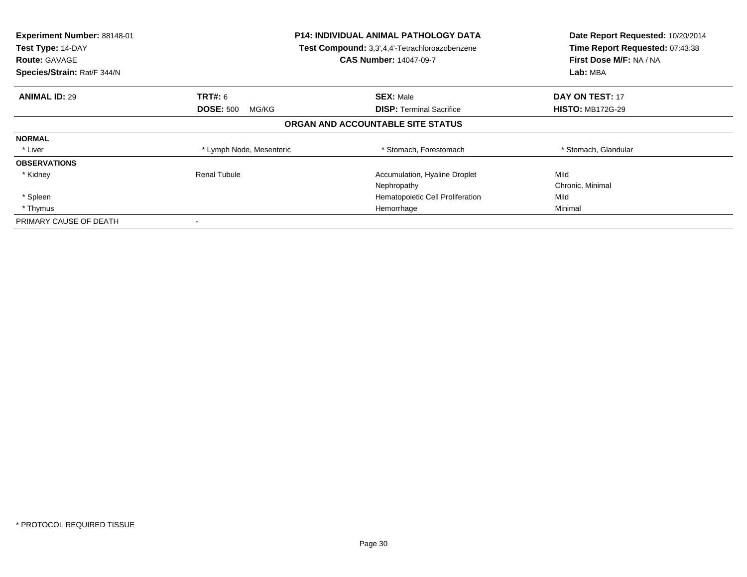| Experiment Number: 88148-01<br>Test Type: 14-DAY<br><b>Route: GAVAGE</b><br>Species/Strain: Rat/F 344/N | <b>P14: INDIVIDUAL ANIMAL PATHOLOGY DATA</b><br>Test Compound: 3,3',4,4'-Tetrachloroazobenzene<br><b>CAS Number: 14047-09-7</b> |                                   | Date Report Requested: 10/20/2014<br>Time Report Requested: 07:43:38<br>First Dose M/F: NA / NA<br>Lab: MBA |
|---------------------------------------------------------------------------------------------------------|---------------------------------------------------------------------------------------------------------------------------------|-----------------------------------|-------------------------------------------------------------------------------------------------------------|
| <b>ANIMAL ID: 29</b>                                                                                    | <b>TRT#:</b> 6                                                                                                                  | <b>SEX: Male</b>                  | DAY ON TEST: 17                                                                                             |
|                                                                                                         | <b>DOSE: 500</b><br>MG/KG                                                                                                       | <b>DISP:</b> Terminal Sacrifice   | <b>HISTO: MB172G-29</b>                                                                                     |
|                                                                                                         |                                                                                                                                 | ORGAN AND ACCOUNTABLE SITE STATUS |                                                                                                             |
| <b>NORMAL</b>                                                                                           |                                                                                                                                 |                                   |                                                                                                             |
| * Liver                                                                                                 | * Lymph Node, Mesenteric                                                                                                        | * Stomach, Forestomach            | * Stomach, Glandular                                                                                        |
| <b>OBSERVATIONS</b>                                                                                     |                                                                                                                                 |                                   |                                                                                                             |
| * Kidney                                                                                                | <b>Renal Tubule</b>                                                                                                             | Accumulation, Hyaline Droplet     | Mild                                                                                                        |
|                                                                                                         |                                                                                                                                 | Nephropathy                       | Chronic, Minimal                                                                                            |
| * Spleen                                                                                                |                                                                                                                                 | Hematopoietic Cell Proliferation  | Mild                                                                                                        |
| * Thymus                                                                                                |                                                                                                                                 | Hemorrhage                        | Minimal                                                                                                     |
| PRIMARY CAUSE OF DEATH                                                                                  |                                                                                                                                 |                                   |                                                                                                             |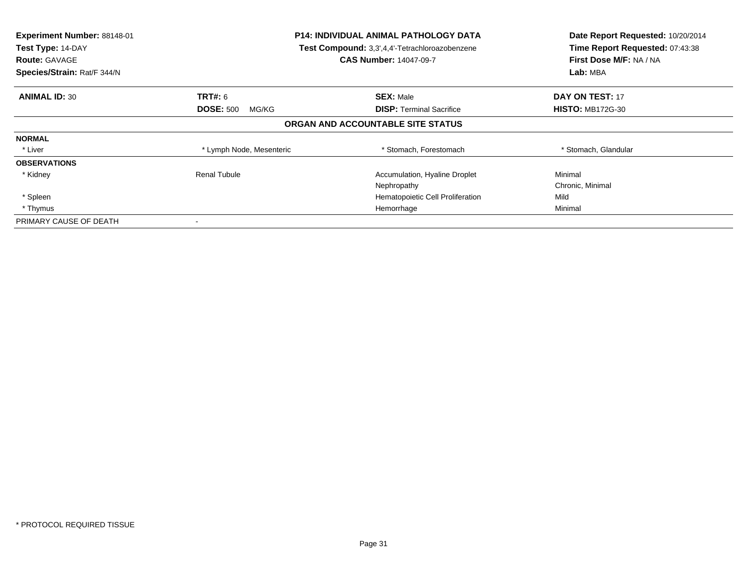| Experiment Number: 88148-01<br>Test Type: 14-DAY<br><b>Route: GAVAGE</b><br>Species/Strain: Rat/F 344/N | <b>P14: INDIVIDUAL ANIMAL PATHOLOGY DATA</b><br>Test Compound: 3,3',4,4'-Tetrachloroazobenzene<br><b>CAS Number: 14047-09-7</b> |                                   | Date Report Requested: 10/20/2014<br>Time Report Requested: 07:43:38<br>First Dose M/F: NA / NA<br>Lab: MBA |
|---------------------------------------------------------------------------------------------------------|---------------------------------------------------------------------------------------------------------------------------------|-----------------------------------|-------------------------------------------------------------------------------------------------------------|
|                                                                                                         |                                                                                                                                 |                                   |                                                                                                             |
| <b>ANIMAL ID: 30</b>                                                                                    | <b>TRT#: 6</b>                                                                                                                  | <b>SEX: Male</b>                  | <b>DAY ON TEST: 17</b>                                                                                      |
|                                                                                                         | <b>DOSE: 500</b><br>MG/KG                                                                                                       | <b>DISP:</b> Terminal Sacrifice   | <b>HISTO: MB172G-30</b>                                                                                     |
|                                                                                                         |                                                                                                                                 | ORGAN AND ACCOUNTABLE SITE STATUS |                                                                                                             |
| <b>NORMAL</b>                                                                                           |                                                                                                                                 |                                   |                                                                                                             |
| * Liver                                                                                                 | * Lymph Node, Mesenteric                                                                                                        | * Stomach, Forestomach            | * Stomach, Glandular                                                                                        |
| <b>OBSERVATIONS</b>                                                                                     |                                                                                                                                 |                                   |                                                                                                             |
| * Kidney                                                                                                | Renal Tubule                                                                                                                    | Accumulation, Hyaline Droplet     | Minimal                                                                                                     |
|                                                                                                         |                                                                                                                                 | Nephropathy                       | Chronic, Minimal                                                                                            |
| * Spleen                                                                                                |                                                                                                                                 | Hematopoietic Cell Proliferation  | Mild                                                                                                        |
| * Thymus                                                                                                |                                                                                                                                 | Hemorrhage                        | Minimal                                                                                                     |
| PRIMARY CAUSE OF DEATH                                                                                  |                                                                                                                                 |                                   |                                                                                                             |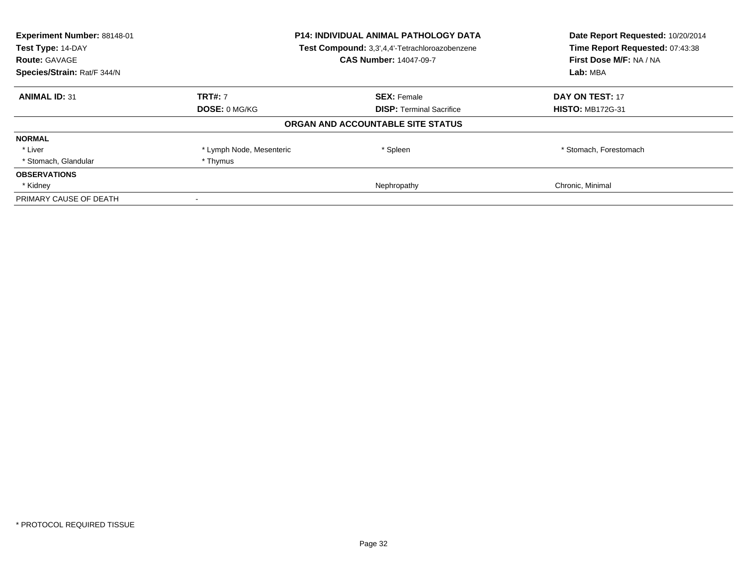| Experiment Number: 88148-01<br>Test Type: 14-DAY | P14: INDIVIDUAL ANIMAL PATHOLOGY DATA<br>Test Compound: 3,3',4,4'-Tetrachloroazobenzene |                                   | Date Report Requested: 10/20/2014<br>Time Report Requested: 07:43:38 |
|--------------------------------------------------|-----------------------------------------------------------------------------------------|-----------------------------------|----------------------------------------------------------------------|
| <b>Route: GAVAGE</b>                             |                                                                                         | <b>CAS Number: 14047-09-7</b>     | First Dose M/F: NA / NA                                              |
| Species/Strain: Rat/F 344/N                      |                                                                                         |                                   | Lab: MBA                                                             |
| <b>ANIMAL ID: 31</b>                             | <b>TRT#: 7</b>                                                                          | <b>SEX: Female</b>                | <b>DAY ON TEST: 17</b>                                               |
|                                                  | <b>DOSE: 0 MG/KG</b>                                                                    | <b>DISP:</b> Terminal Sacrifice   | <b>HISTO: MB172G-31</b>                                              |
|                                                  |                                                                                         | ORGAN AND ACCOUNTABLE SITE STATUS |                                                                      |
| <b>NORMAL</b>                                    |                                                                                         |                                   |                                                                      |
| * Liver                                          | * Lymph Node, Mesenteric                                                                | * Spleen                          | * Stomach, Forestomach                                               |
| * Stomach, Glandular                             | * Thymus                                                                                |                                   |                                                                      |
| <b>OBSERVATIONS</b>                              |                                                                                         |                                   |                                                                      |
| * Kidney                                         |                                                                                         | Nephropathy                       | Chronic, Minimal                                                     |
| PRIMARY CAUSE OF DEATH                           |                                                                                         |                                   |                                                                      |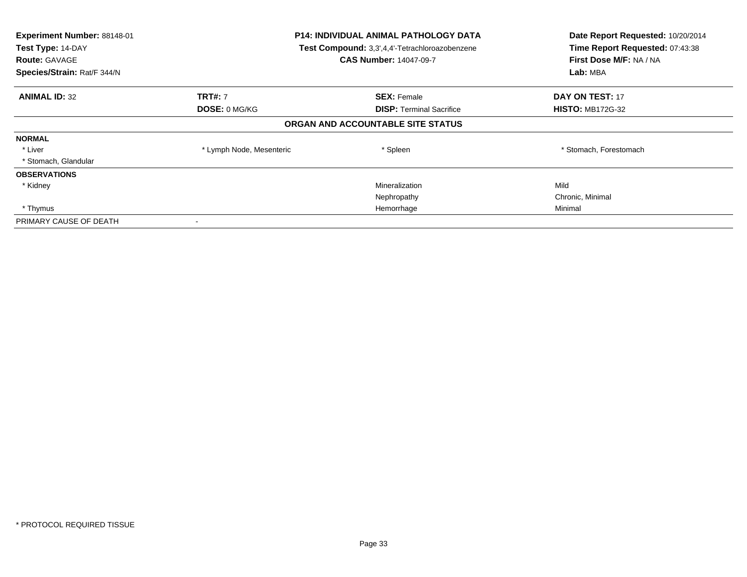| Experiment Number: 88148-01<br>Test Type: 14-DAY<br><b>Route: GAVAGE</b><br>Species/Strain: Rat/F 344/N | <b>P14: INDIVIDUAL ANIMAL PATHOLOGY DATA</b><br>Test Compound: 3,3',4,4'-Tetrachloroazobenzene<br><b>CAS Number: 14047-09-7</b> |                                   | Date Report Requested: 10/20/2014<br>Time Report Requested: 07:43:38<br>First Dose M/F: NA / NA<br>Lab: MBA |
|---------------------------------------------------------------------------------------------------------|---------------------------------------------------------------------------------------------------------------------------------|-----------------------------------|-------------------------------------------------------------------------------------------------------------|
| <b>ANIMAL ID: 32</b>                                                                                    | <b>TRT#: 7</b>                                                                                                                  | <b>SEX: Female</b>                | <b>DAY ON TEST: 17</b>                                                                                      |
|                                                                                                         | <b>DOSE: 0 MG/KG</b>                                                                                                            | <b>DISP:</b> Terminal Sacrifice   | <b>HISTO: MB172G-32</b>                                                                                     |
|                                                                                                         |                                                                                                                                 | ORGAN AND ACCOUNTABLE SITE STATUS |                                                                                                             |
| <b>NORMAL</b>                                                                                           |                                                                                                                                 |                                   |                                                                                                             |
| * Liver                                                                                                 | * Lymph Node, Mesenteric                                                                                                        | * Spleen                          | * Stomach, Forestomach                                                                                      |
| * Stomach, Glandular                                                                                    |                                                                                                                                 |                                   |                                                                                                             |
| <b>OBSERVATIONS</b>                                                                                     |                                                                                                                                 |                                   |                                                                                                             |
| * Kidney                                                                                                |                                                                                                                                 | Mineralization                    | Mild                                                                                                        |
|                                                                                                         |                                                                                                                                 | Nephropathy                       | Chronic, Minimal                                                                                            |
| * Thymus                                                                                                |                                                                                                                                 | Hemorrhage                        | Minimal                                                                                                     |
| PRIMARY CAUSE OF DEATH                                                                                  |                                                                                                                                 |                                   |                                                                                                             |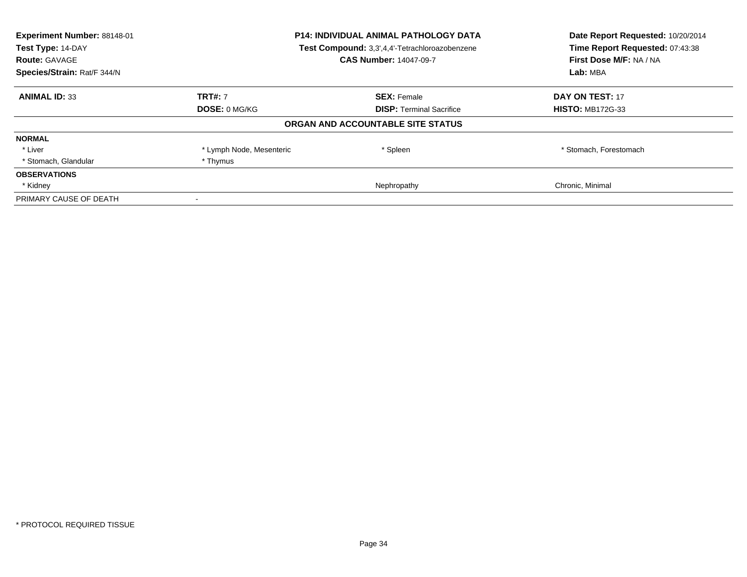| Experiment Number: 88148-01<br>Test Type: 14-DAY | <b>P14: INDIVIDUAL ANIMAL PATHOLOGY DATA</b><br>Test Compound: 3,3',4,4'-Tetrachloroazobenzene |                                   | Date Report Requested: 10/20/2014<br>Time Report Requested: 07:43:38 |
|--------------------------------------------------|------------------------------------------------------------------------------------------------|-----------------------------------|----------------------------------------------------------------------|
| <b>Route: GAVAGE</b>                             |                                                                                                | <b>CAS Number: 14047-09-7</b>     | First Dose M/F: NA / NA                                              |
| Species/Strain: Rat/F 344/N                      |                                                                                                |                                   | Lab: MBA                                                             |
| <b>ANIMAL ID: 33</b>                             | <b>TRT#: 7</b>                                                                                 | <b>SEX: Female</b>                | <b>DAY ON TEST: 17</b>                                               |
|                                                  | <b>DOSE: 0 MG/KG</b>                                                                           | <b>DISP:</b> Terminal Sacrifice   | <b>HISTO: MB172G-33</b>                                              |
|                                                  |                                                                                                | ORGAN AND ACCOUNTABLE SITE STATUS |                                                                      |
| <b>NORMAL</b>                                    |                                                                                                |                                   |                                                                      |
| * Liver                                          | * Lymph Node, Mesenteric                                                                       | * Spleen                          | * Stomach, Forestomach                                               |
| * Stomach, Glandular                             | * Thymus                                                                                       |                                   |                                                                      |
| <b>OBSERVATIONS</b>                              |                                                                                                |                                   |                                                                      |
| * Kidney                                         |                                                                                                | Nephropathy                       | Chronic, Minimal                                                     |
| PRIMARY CAUSE OF DEATH                           |                                                                                                |                                   |                                                                      |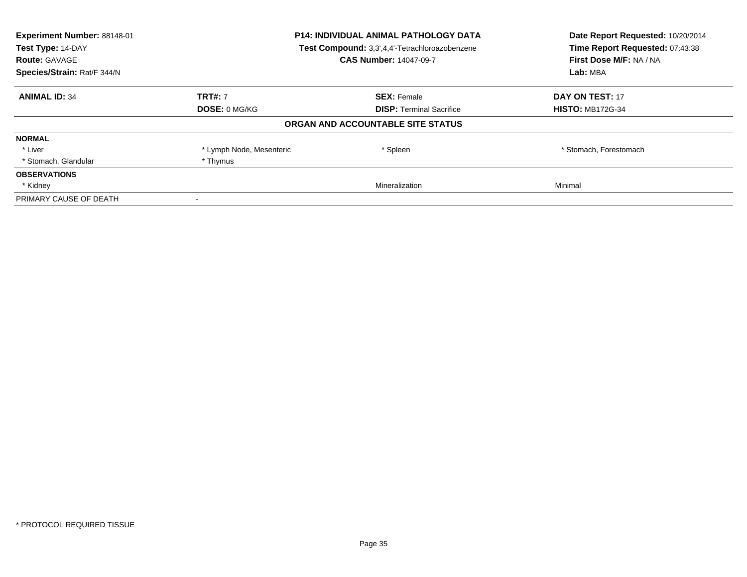| Experiment Number: 88148-01<br>Test Type: 14-DAY<br><b>Route: GAVAGE</b> | <b>P14: INDIVIDUAL ANIMAL PATHOLOGY DATA</b><br>Test Compound: 3,3',4,4'-Tetrachloroazobenzene<br><b>CAS Number: 14047-09-7</b> |                                   | Date Report Requested: 10/20/2014<br>Time Report Requested: 07:43:38<br>First Dose M/F: NA / NA |
|--------------------------------------------------------------------------|---------------------------------------------------------------------------------------------------------------------------------|-----------------------------------|-------------------------------------------------------------------------------------------------|
| Species/Strain: Rat/F 344/N                                              |                                                                                                                                 |                                   | Lab: MBA                                                                                        |
| <b>ANIMAL ID: 34</b>                                                     | <b>TRT#: 7</b>                                                                                                                  | <b>SEX: Female</b>                | DAY ON TEST: 17                                                                                 |
|                                                                          | DOSE: 0 MG/KG                                                                                                                   | <b>DISP:</b> Terminal Sacrifice   | <b>HISTO: MB172G-34</b>                                                                         |
|                                                                          |                                                                                                                                 | ORGAN AND ACCOUNTABLE SITE STATUS |                                                                                                 |
| <b>NORMAL</b>                                                            |                                                                                                                                 |                                   |                                                                                                 |
| * Liver                                                                  | * Lymph Node, Mesenteric                                                                                                        | * Spleen                          | * Stomach, Forestomach                                                                          |
| * Stomach, Glandular                                                     | * Thymus                                                                                                                        |                                   |                                                                                                 |
| <b>OBSERVATIONS</b>                                                      |                                                                                                                                 |                                   |                                                                                                 |
| * Kidney                                                                 |                                                                                                                                 | Mineralization                    | Minimal                                                                                         |
| PRIMARY CAUSE OF DEATH                                                   |                                                                                                                                 |                                   |                                                                                                 |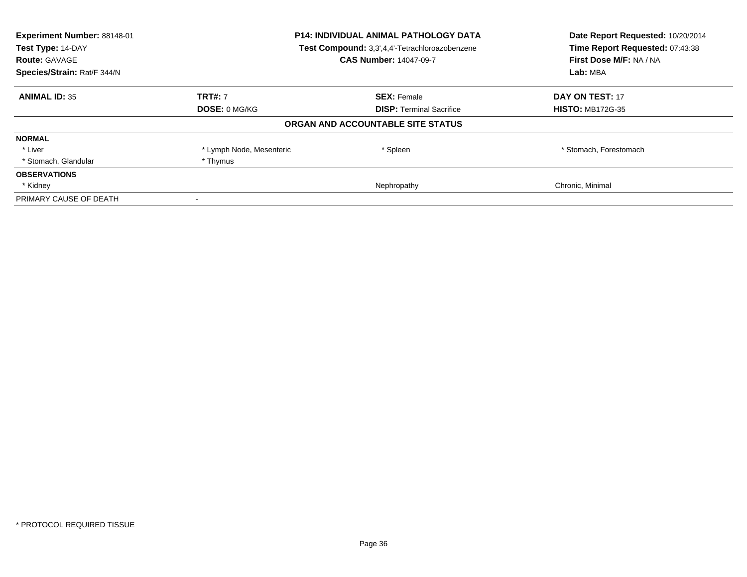| Experiment Number: 88148-01<br>Test Type: 14-DAY | P14: INDIVIDUAL ANIMAL PATHOLOGY DATA<br>Test Compound: 3,3',4,4'-Tetrachloroazobenzene |                                   | Date Report Requested: 10/20/2014<br>Time Report Requested: 07:43:38 |
|--------------------------------------------------|-----------------------------------------------------------------------------------------|-----------------------------------|----------------------------------------------------------------------|
| <b>Route: GAVAGE</b>                             |                                                                                         | <b>CAS Number: 14047-09-7</b>     | First Dose M/F: NA / NA                                              |
| Species/Strain: Rat/F 344/N                      |                                                                                         |                                   | Lab: MBA                                                             |
| <b>ANIMAL ID: 35</b>                             | <b>TRT#: 7</b>                                                                          | <b>SEX: Female</b>                | <b>DAY ON TEST: 17</b>                                               |
|                                                  | <b>DOSE: 0 MG/KG</b>                                                                    | <b>DISP:</b> Terminal Sacrifice   | <b>HISTO: MB172G-35</b>                                              |
|                                                  |                                                                                         | ORGAN AND ACCOUNTABLE SITE STATUS |                                                                      |
| <b>NORMAL</b>                                    |                                                                                         |                                   |                                                                      |
| * Liver                                          | * Lymph Node, Mesenteric                                                                | * Spleen                          | * Stomach, Forestomach                                               |
| * Stomach, Glandular                             | * Thymus                                                                                |                                   |                                                                      |
| <b>OBSERVATIONS</b>                              |                                                                                         |                                   |                                                                      |
| * Kidney                                         |                                                                                         | Nephropathy                       | Chronic, Minimal                                                     |
| PRIMARY CAUSE OF DEATH                           |                                                                                         |                                   |                                                                      |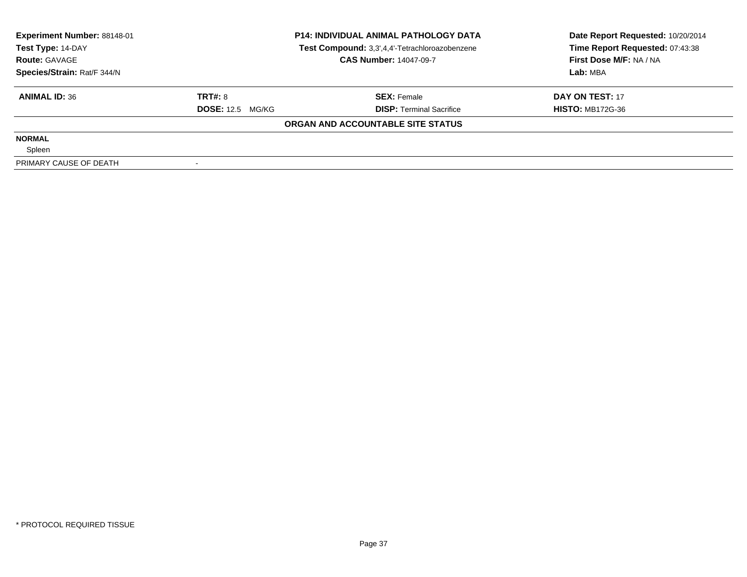| Experiment Number: 88148-01 | <b>P14: INDIVIDUAL ANIMAL PATHOLOGY DATA</b> |                                                | Date Report Requested: 10/20/2014 |  |
|-----------------------------|----------------------------------------------|------------------------------------------------|-----------------------------------|--|
| Test Type: 14-DAY           |                                              | Test Compound: 3,3',4,4'-Tetrachloroazobenzene | Time Report Requested: 07:43:38   |  |
| <b>Route: GAVAGE</b>        |                                              | <b>CAS Number: 14047-09-7</b>                  | First Dose M/F: NA / NA           |  |
| Species/Strain: Rat/F 344/N |                                              |                                                | Lab: MBA                          |  |
| <b>ANIMAL ID: 36</b>        | TRT#: 8                                      | <b>SEX: Female</b>                             | DAY ON TEST: 17                   |  |
|                             | <b>DOSE:</b> 12.5 MG/KG                      | <b>DISP: Terminal Sacrifice</b>                | <b>HISTO: MB172G-36</b>           |  |
|                             |                                              | ORGAN AND ACCOUNTABLE SITE STATUS              |                                   |  |
| <b>NORMAL</b>               |                                              |                                                |                                   |  |
| Spleen                      |                                              |                                                |                                   |  |
| PRIMARY CAUSE OF DEATH      |                                              |                                                |                                   |  |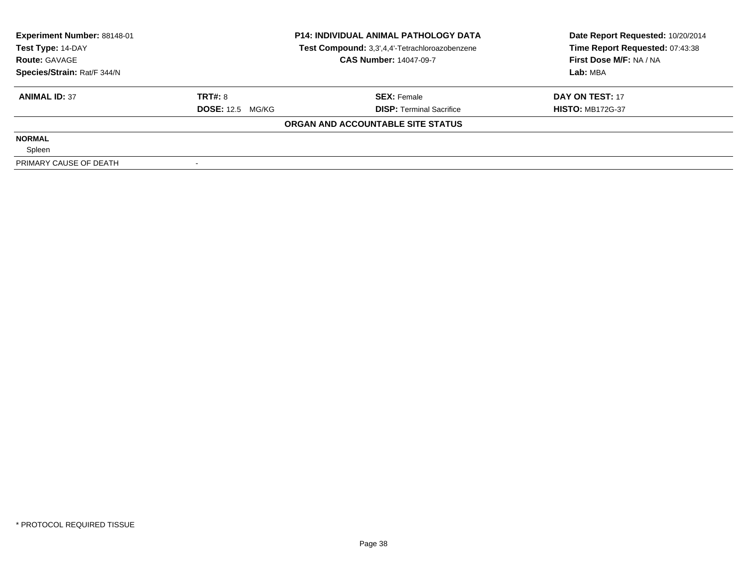| Experiment Number: 88148-01 | <b>P14: INDIVIDUAL ANIMAL PATHOLOGY DATA</b> |                                                | Date Report Requested: 10/20/2014 |  |
|-----------------------------|----------------------------------------------|------------------------------------------------|-----------------------------------|--|
| Test Type: 14-DAY           |                                              | Test Compound: 3,3',4,4'-Tetrachloroazobenzene | Time Report Requested: 07:43:38   |  |
| <b>Route: GAVAGE</b>        |                                              | <b>CAS Number: 14047-09-7</b>                  | First Dose M/F: NA / NA           |  |
| Species/Strain: Rat/F 344/N |                                              |                                                | Lab: MBA                          |  |
| <b>ANIMAL ID: 37</b>        | TRT#: 8                                      | <b>SEX: Female</b>                             | DAY ON TEST: 17                   |  |
|                             | <b>DOSE:</b> 12.5 MG/KG                      | <b>DISP: Terminal Sacrifice</b>                | <b>HISTO: MB172G-37</b>           |  |
|                             |                                              | ORGAN AND ACCOUNTABLE SITE STATUS              |                                   |  |
| <b>NORMAL</b>               |                                              |                                                |                                   |  |
| Spleen                      |                                              |                                                |                                   |  |
| PRIMARY CAUSE OF DEATH      |                                              |                                                |                                   |  |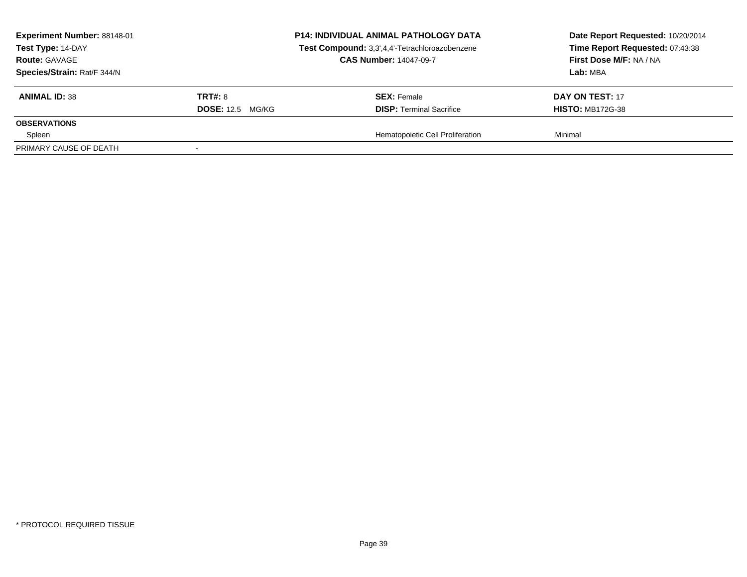| Experiment Number: 88148-01<br>Test Type: 14-DAY<br><b>Route: GAVAGE</b><br>Species/Strain: Rat/F 344/N |                         | <b>P14: INDIVIDUAL ANIMAL PATHOLOGY DATA</b><br>Test Compound: 3,3',4,4'-Tetrachloroazobenzene<br><b>CAS Number: 14047-09-7</b> | Date Report Requested: 10/20/2014<br>Time Report Requested: 07:43:38<br>First Dose M/F: NA / NA<br>Lab: MBA |
|---------------------------------------------------------------------------------------------------------|-------------------------|---------------------------------------------------------------------------------------------------------------------------------|-------------------------------------------------------------------------------------------------------------|
| <b>ANIMAL ID: 38</b>                                                                                    | <b>TRT#: 8</b>          | <b>SEX:</b> Female                                                                                                              | DAY ON TEST: 17                                                                                             |
| <b>OBSERVATIONS</b>                                                                                     | <b>DOSE:</b> 12.5 MG/KG | <b>DISP: Terminal Sacrifice</b>                                                                                                 | <b>HISTO: MB172G-38</b>                                                                                     |
| Spleen                                                                                                  |                         | Hematopoietic Cell Proliferation                                                                                                | Minimal                                                                                                     |
| PRIMARY CAUSE OF DEATH                                                                                  |                         |                                                                                                                                 |                                                                                                             |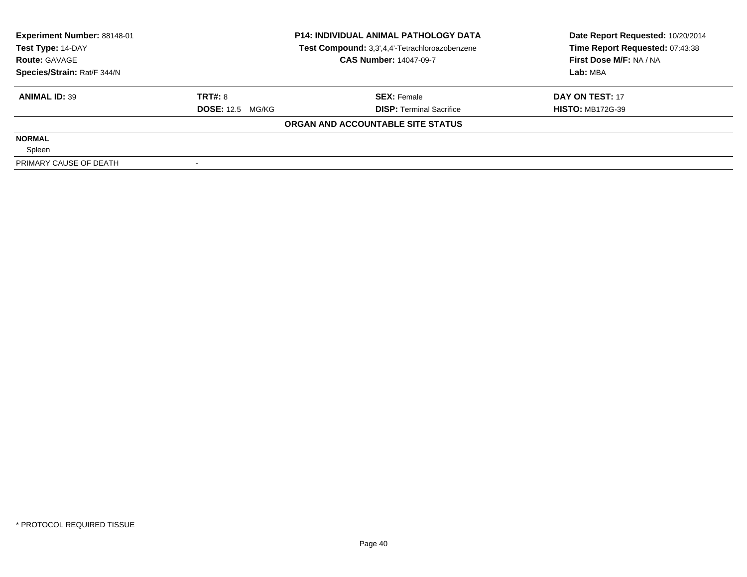| Experiment Number: 88148-01 | <b>P14: INDIVIDUAL ANIMAL PATHOLOGY DATA</b> |                                                | Date Report Requested: 10/20/2014 |  |
|-----------------------------|----------------------------------------------|------------------------------------------------|-----------------------------------|--|
| Test Type: 14-DAY           |                                              | Test Compound: 3,3',4,4'-Tetrachloroazobenzene | Time Report Requested: 07:43:38   |  |
| <b>Route: GAVAGE</b>        |                                              | <b>CAS Number: 14047-09-7</b>                  | First Dose M/F: NA / NA           |  |
| Species/Strain: Rat/F 344/N |                                              |                                                | Lab: MBA                          |  |
| <b>ANIMAL ID: 39</b>        | TRT#: 8                                      | <b>SEX: Female</b>                             | DAY ON TEST: 17                   |  |
|                             | <b>DOSE:</b> 12.5 MG/KG                      | <b>DISP: Terminal Sacrifice</b>                | <b>HISTO: MB172G-39</b>           |  |
|                             |                                              | ORGAN AND ACCOUNTABLE SITE STATUS              |                                   |  |
| <b>NORMAL</b>               |                                              |                                                |                                   |  |
| Spleen                      |                                              |                                                |                                   |  |
| PRIMARY CAUSE OF DEATH      |                                              |                                                |                                   |  |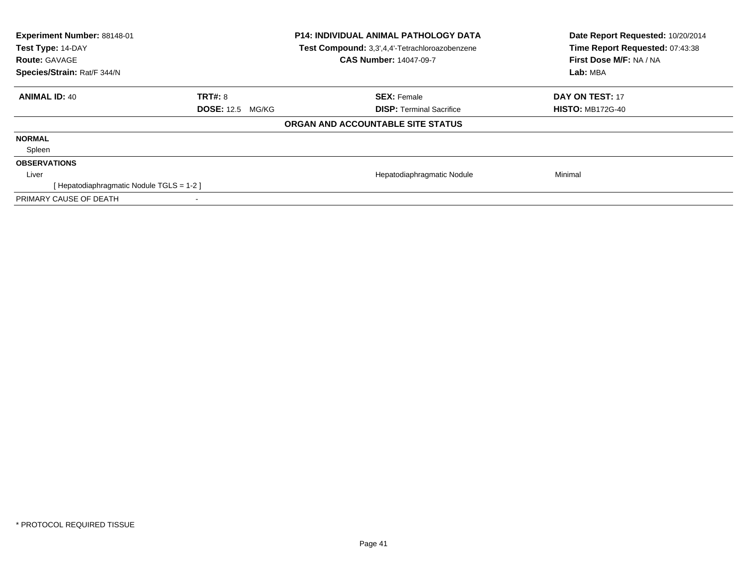| <b>Experiment Number: 88148-01</b><br>Test Type: 14-DAY<br><b>Route: GAVAGE</b><br>Species/Strain: Rat/F 344/N |                         | <b>P14: INDIVIDUAL ANIMAL PATHOLOGY DATA</b><br>Test Compound: 3,3',4,4'-Tetrachloroazobenzene<br><b>CAS Number: 14047-09-7</b> | Date Report Requested: 10/20/2014<br>Time Report Requested: 07:43:38<br>First Dose M/F: NA / NA<br>Lab: MBA |
|----------------------------------------------------------------------------------------------------------------|-------------------------|---------------------------------------------------------------------------------------------------------------------------------|-------------------------------------------------------------------------------------------------------------|
| <b>ANIMAL ID: 40</b>                                                                                           | <b>TRT#: 8</b>          | <b>SEX: Female</b>                                                                                                              | DAY ON TEST: 17                                                                                             |
|                                                                                                                | <b>DOSE: 12.5 MG/KG</b> | <b>DISP:</b> Terminal Sacrifice                                                                                                 | <b>HISTO: MB172G-40</b>                                                                                     |
|                                                                                                                |                         | ORGAN AND ACCOUNTABLE SITE STATUS                                                                                               |                                                                                                             |
| <b>NORMAL</b>                                                                                                  |                         |                                                                                                                                 |                                                                                                             |
| Spleen                                                                                                         |                         |                                                                                                                                 |                                                                                                             |
| <b>OBSERVATIONS</b>                                                                                            |                         |                                                                                                                                 |                                                                                                             |
| Liver                                                                                                          |                         | Hepatodiaphragmatic Nodule                                                                                                      | Minimal                                                                                                     |
| [Hepatodiaphragmatic Nodule TGLS = 1-2]                                                                        |                         |                                                                                                                                 |                                                                                                             |
| PRIMARY CAUSE OF DEATH                                                                                         | ۰                       |                                                                                                                                 |                                                                                                             |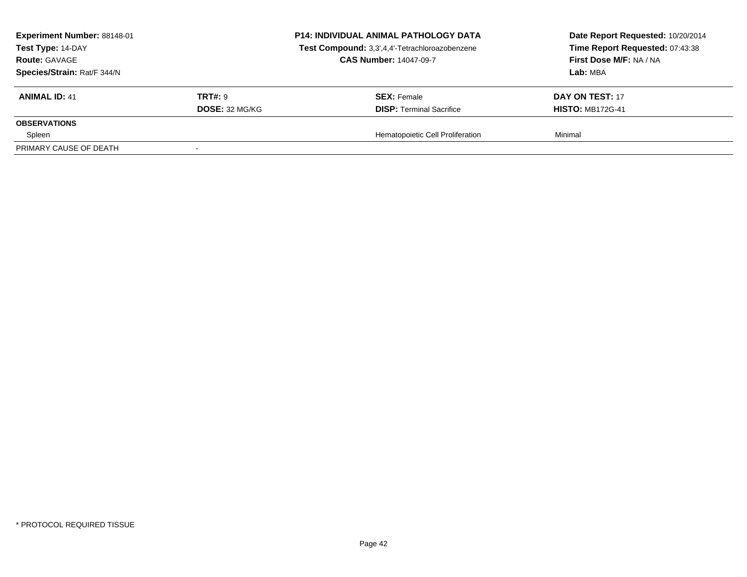| Experiment Number: 88148-01<br>Test Type: 14-DAY<br><b>Route: GAVAGE</b><br>Species/Strain: Rat/F 344/N |                | <b>P14: INDIVIDUAL ANIMAL PATHOLOGY DATA</b><br>Test Compound: 3,3',4,4'-Tetrachloroazobenzene<br><b>CAS Number: 14047-09-7</b> | Date Report Requested: 10/20/2014<br>Time Report Requested: 07:43:38<br>First Dose M/F: NA / NA<br>Lab: MBA |
|---------------------------------------------------------------------------------------------------------|----------------|---------------------------------------------------------------------------------------------------------------------------------|-------------------------------------------------------------------------------------------------------------|
| <b>ANIMAL ID: 41</b>                                                                                    | <b>TRT#: 9</b> | <b>SEX: Female</b>                                                                                                              | DAY ON TEST: 17                                                                                             |
|                                                                                                         | DOSE: 32 MG/KG | <b>DISP: Terminal Sacrifice</b>                                                                                                 | <b>HISTO: MB172G-41</b>                                                                                     |
| <b>OBSERVATIONS</b><br>Spleen                                                                           |                | Hematopoietic Cell Proliferation                                                                                                | Minimal                                                                                                     |
| PRIMARY CAUSE OF DEATH                                                                                  |                |                                                                                                                                 |                                                                                                             |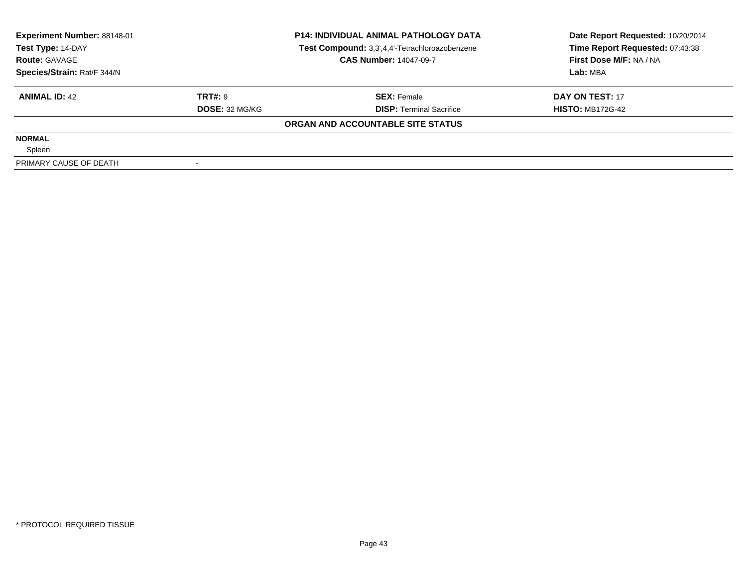| Experiment Number: 88148-01 | <b>P14: INDIVIDUAL ANIMAL PATHOLOGY DATA</b> |                                                | Date Report Requested: 10/20/2014 |  |
|-----------------------------|----------------------------------------------|------------------------------------------------|-----------------------------------|--|
| Test Type: 14-DAY           |                                              | Test Compound: 3,3',4,4'-Tetrachloroazobenzene | Time Report Requested: 07:43:38   |  |
| <b>Route: GAVAGE</b>        |                                              | <b>CAS Number: 14047-09-7</b>                  | First Dose M/F: NA / NA           |  |
| Species/Strain: Rat/F 344/N |                                              |                                                | Lab: MBA                          |  |
| <b>ANIMAL ID: 42</b>        | <b>TRT#: 9</b>                               | <b>SEX: Female</b>                             | DAY ON TEST: 17                   |  |
|                             | <b>DOSE: 32 MG/KG</b>                        | <b>DISP: Terminal Sacrifice</b>                | <b>HISTO: MB172G-42</b>           |  |
|                             |                                              | ORGAN AND ACCOUNTABLE SITE STATUS              |                                   |  |
| <b>NORMAL</b>               |                                              |                                                |                                   |  |
| Spleen                      |                                              |                                                |                                   |  |
| PRIMARY CAUSE OF DEATH      |                                              |                                                |                                   |  |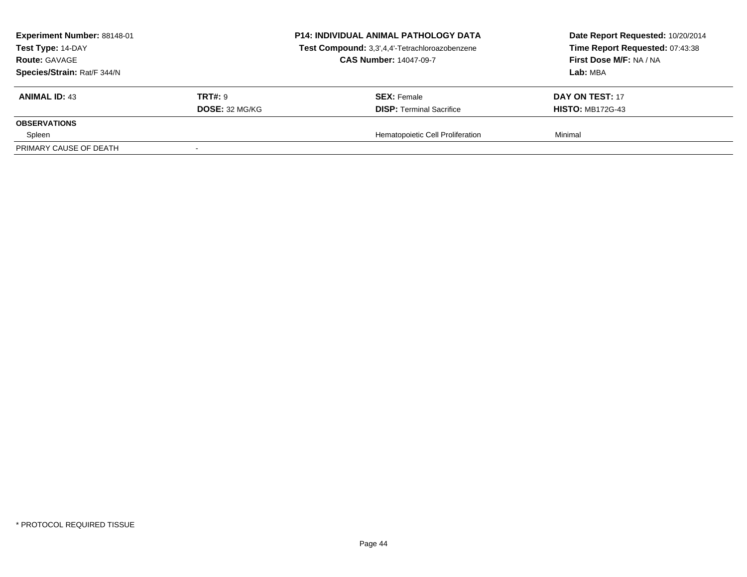| Experiment Number: 88148-01<br>Test Type: 14-DAY<br><b>Route: GAVAGE</b><br>Species/Strain: Rat/F 344/N |                                         | <b>P14: INDIVIDUAL ANIMAL PATHOLOGY DATA</b><br>Test Compound: 3,3',4,4'-Tetrachloroazobenzene<br><b>CAS Number: 14047-09-7</b> | Date Report Requested: 10/20/2014<br>Time Report Requested: 07:43:38<br>First Dose M/F: NA / NA<br>Lab: MBA |
|---------------------------------------------------------------------------------------------------------|-----------------------------------------|---------------------------------------------------------------------------------------------------------------------------------|-------------------------------------------------------------------------------------------------------------|
| <b>ANIMAL ID: 43</b>                                                                                    | <b>TRT#: 9</b><br><b>DOSE: 32 MG/KG</b> | <b>SEX:</b> Female<br><b>DISP: Terminal Sacrifice</b>                                                                           | DAY ON TEST: 17<br><b>HISTO: MB172G-43</b>                                                                  |
| <b>OBSERVATIONS</b><br>Spleen                                                                           |                                         | Hematopoietic Cell Proliferation                                                                                                | Minimal                                                                                                     |
| PRIMARY CAUSE OF DEATH                                                                                  |                                         |                                                                                                                                 |                                                                                                             |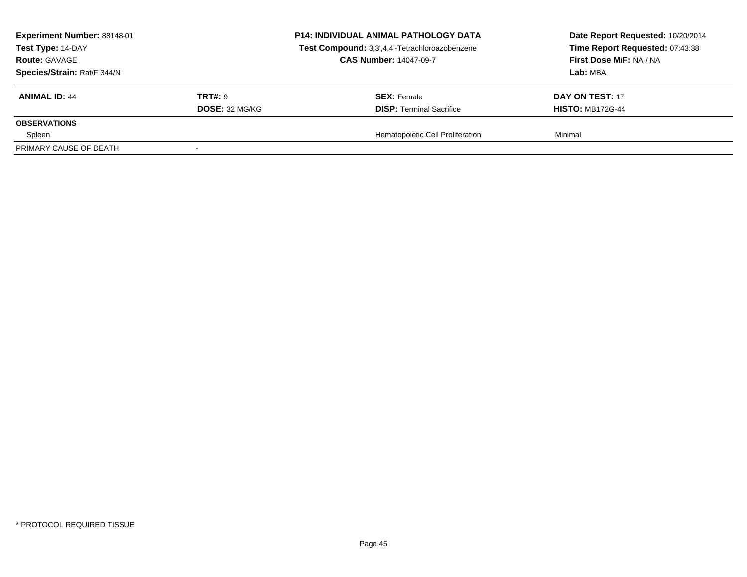| Experiment Number: 88148-01<br>Test Type: 14-DAY<br><b>Route: GAVAGE</b><br>Species/Strain: Rat/F 344/N |                                  | <b>P14: INDIVIDUAL ANIMAL PATHOLOGY DATA</b><br>Test Compound: 3,3',4,4'-Tetrachloroazobenzene<br><b>CAS Number: 14047-09-7</b> | Date Report Requested: 10/20/2014<br>Time Report Requested: 07:43:38<br>First Dose M/F: NA / NA<br>Lab: MBA |
|---------------------------------------------------------------------------------------------------------|----------------------------------|---------------------------------------------------------------------------------------------------------------------------------|-------------------------------------------------------------------------------------------------------------|
| <b>ANIMAL ID: 44</b>                                                                                    | <b>TRT#: 9</b><br>DOSE: 32 MG/KG | <b>SEX: Female</b><br><b>DISP: Terminal Sacrifice</b>                                                                           | DAY ON TEST: 17<br><b>HISTO: MB172G-44</b>                                                                  |
| <b>OBSERVATIONS</b>                                                                                     |                                  |                                                                                                                                 |                                                                                                             |
| Spleen<br>PRIMARY CAUSE OF DEATH                                                                        |                                  | Hematopoietic Cell Proliferation                                                                                                | Minimal                                                                                                     |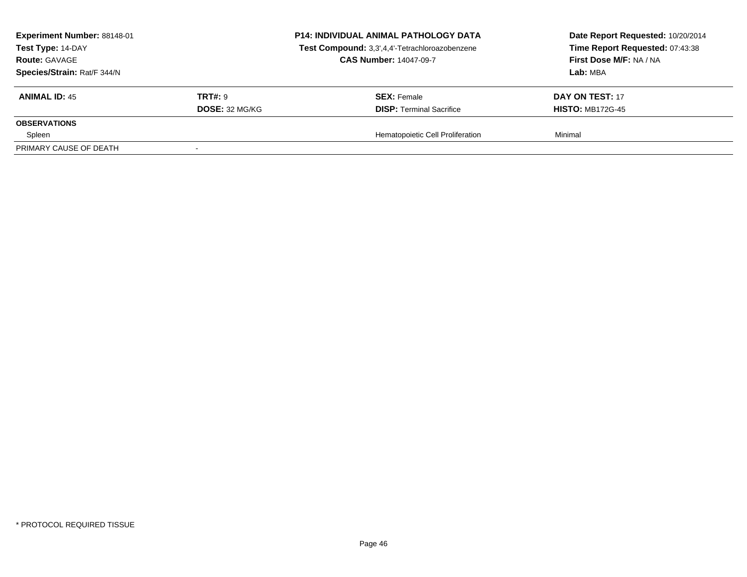| Experiment Number: 88148-01<br>Test Type: 14-DAY<br><b>Route: GAVAGE</b><br>Species/Strain: Rat/F 344/N |                | <b>P14: INDIVIDUAL ANIMAL PATHOLOGY DATA</b><br>Test Compound: 3,3',4,4'-Tetrachloroazobenzene<br><b>CAS Number: 14047-09-7</b> | Date Report Requested: 10/20/2014<br>Time Report Requested: 07:43:38<br>First Dose M/F: NA / NA<br>Lab: MBA |
|---------------------------------------------------------------------------------------------------------|----------------|---------------------------------------------------------------------------------------------------------------------------------|-------------------------------------------------------------------------------------------------------------|
| <b>ANIMAL ID: 45</b>                                                                                    | <b>TRT#: 9</b> | <b>SEX: Female</b>                                                                                                              | DAY ON TEST: 17                                                                                             |
| <b>OBSERVATIONS</b>                                                                                     | DOSE: 32 MG/KG | <b>DISP: Terminal Sacrifice</b>                                                                                                 | <b>HISTO: MB172G-45</b>                                                                                     |
| Spleen                                                                                                  |                | Hematopoietic Cell Proliferation                                                                                                | Minimal                                                                                                     |
| PRIMARY CAUSE OF DEATH                                                                                  |                |                                                                                                                                 |                                                                                                             |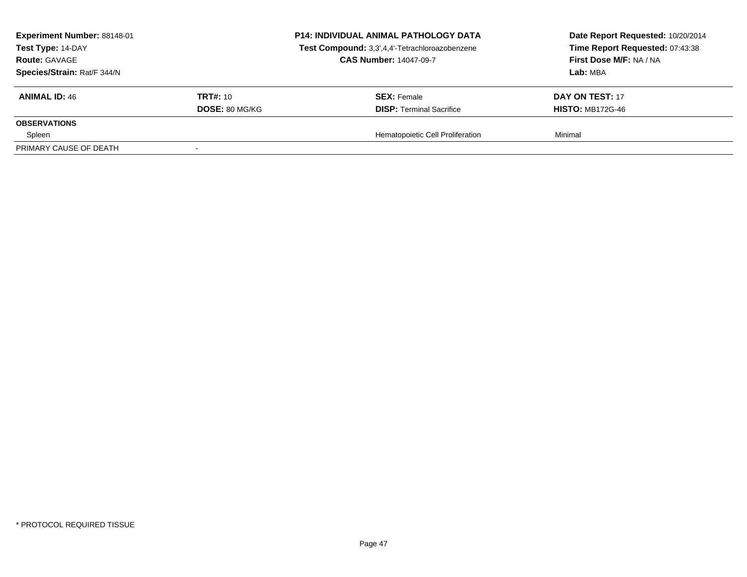| Experiment Number: 88148-01<br>Test Type: 14-DAY<br><b>Route: GAVAGE</b><br>Species/Strain: Rat/F 344/N |                       | <b>P14: INDIVIDUAL ANIMAL PATHOLOGY DATA</b><br>Test Compound: 3,3',4,4'-Tetrachloroazobenzene<br><b>CAS Number: 14047-09-7</b> | Date Report Requested: 10/20/2014<br>Time Report Requested: 07:43:38<br>First Dose M/F: NA / NA<br>Lab: MBA |
|---------------------------------------------------------------------------------------------------------|-----------------------|---------------------------------------------------------------------------------------------------------------------------------|-------------------------------------------------------------------------------------------------------------|
| <b>ANIMAL ID: 46</b>                                                                                    | <b>TRT#:</b> 10       | <b>SEX: Female</b>                                                                                                              | DAY ON TEST: 17                                                                                             |
|                                                                                                         | <b>DOSE: 80 MG/KG</b> | <b>DISP: Terminal Sacrifice</b>                                                                                                 | <b>HISTO: MB172G-46</b>                                                                                     |
| <b>OBSERVATIONS</b>                                                                                     |                       |                                                                                                                                 |                                                                                                             |
| Spleen                                                                                                  |                       | Hematopoietic Cell Proliferation                                                                                                | Minimal                                                                                                     |
| PRIMARY CAUSE OF DEATH                                                                                  |                       |                                                                                                                                 |                                                                                                             |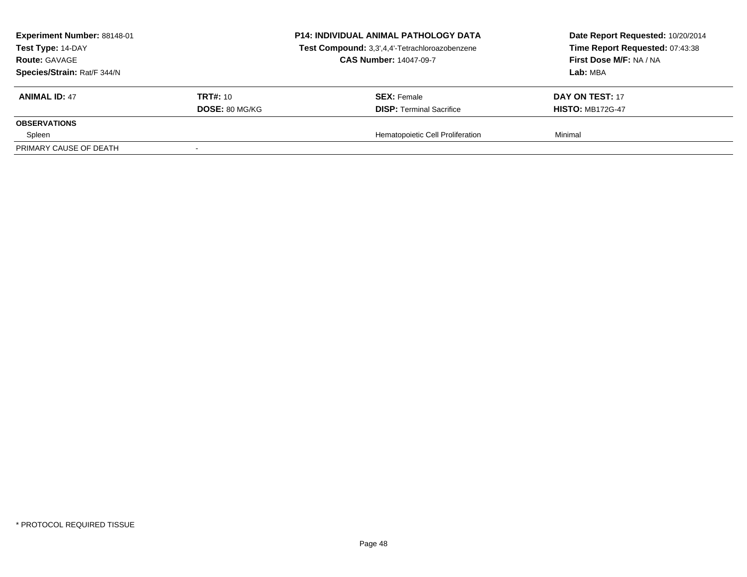| Experiment Number: 88148-01<br>Test Type: 14-DAY<br><b>Route: GAVAGE</b><br>Species/Strain: Rat/F 344/N |                       | <b>P14: INDIVIDUAL ANIMAL PATHOLOGY DATA</b><br>Test Compound: 3,3',4,4'-Tetrachloroazobenzene<br><b>CAS Number: 14047-09-7</b> | Date Report Requested: 10/20/2014<br>Time Report Requested: 07:43:38<br>First Dose M/F: NA / NA<br>Lab: MBA |
|---------------------------------------------------------------------------------------------------------|-----------------------|---------------------------------------------------------------------------------------------------------------------------------|-------------------------------------------------------------------------------------------------------------|
| <b>ANIMAL ID: 47</b>                                                                                    | <b>TRT#: 10</b>       | <b>SEX: Female</b>                                                                                                              | DAY ON TEST: 17                                                                                             |
| <b>OBSERVATIONS</b>                                                                                     | <b>DOSE: 80 MG/KG</b> | <b>DISP: Terminal Sacrifice</b>                                                                                                 | <b>HISTO: MB172G-47</b>                                                                                     |
| Spleen                                                                                                  |                       | Hematopoietic Cell Proliferation                                                                                                | Minimal                                                                                                     |
| PRIMARY CAUSE OF DEATH                                                                                  |                       |                                                                                                                                 |                                                                                                             |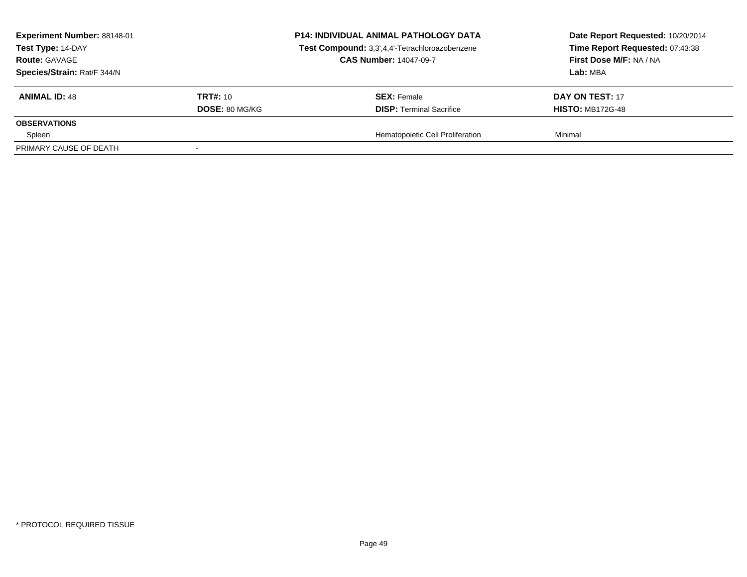| Experiment Number: 88148-01<br>Test Type: 14-DAY<br><b>Route: GAVAGE</b><br>Species/Strain: Rat/F 344/N |                                          | <b>P14: INDIVIDUAL ANIMAL PATHOLOGY DATA</b><br>Test Compound: 3,3',4,4'-Tetrachloroazobenzene<br><b>CAS Number: 14047-09-7</b> | Date Report Requested: 10/20/2014<br>Time Report Requested: 07:43:38<br>First Dose M/F: NA / NA<br>Lab: MBA |
|---------------------------------------------------------------------------------------------------------|------------------------------------------|---------------------------------------------------------------------------------------------------------------------------------|-------------------------------------------------------------------------------------------------------------|
| <b>ANIMAL ID: 48</b>                                                                                    | <b>TRT#:</b> 10<br><b>DOSE: 80 MG/KG</b> | <b>SEX:</b> Female<br><b>DISP: Terminal Sacrifice</b>                                                                           | <b>DAY ON TEST: 17</b><br><b>HISTO: MB172G-48</b>                                                           |
| <b>OBSERVATIONS</b>                                                                                     |                                          |                                                                                                                                 |                                                                                                             |
| Spleen<br>PRIMARY CAUSE OF DEATH                                                                        |                                          | Hematopoietic Cell Proliferation                                                                                                | Minimal                                                                                                     |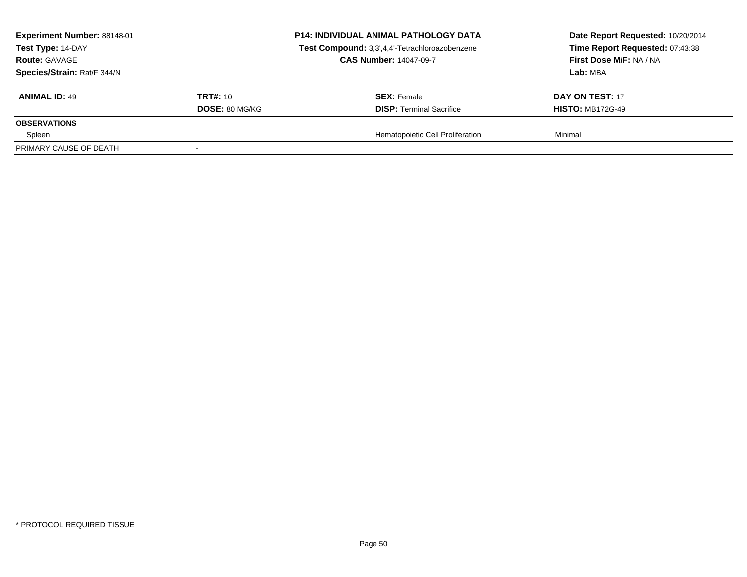| Experiment Number: 88148-01<br>Test Type: 14-DAY<br><b>Route: GAVAGE</b><br>Species/Strain: Rat/F 344/N |                       | <b>P14: INDIVIDUAL ANIMAL PATHOLOGY DATA</b><br>Test Compound: 3,3',4,4'-Tetrachloroazobenzene<br><b>CAS Number: 14047-09-7</b> | Date Report Requested: 10/20/2014<br>Time Report Requested: 07:43:38<br>First Dose M/F: NA / NA<br>Lab: MBA |
|---------------------------------------------------------------------------------------------------------|-----------------------|---------------------------------------------------------------------------------------------------------------------------------|-------------------------------------------------------------------------------------------------------------|
| <b>ANIMAL ID: 49</b>                                                                                    | <b>TRT#:</b> 10       | <b>SEX:</b> Female<br><b>DISP: Terminal Sacrifice</b>                                                                           | DAY ON TEST: 17                                                                                             |
| <b>OBSERVATIONS</b>                                                                                     | <b>DOSE: 80 MG/KG</b> |                                                                                                                                 | <b>HISTO: MB172G-49</b>                                                                                     |
| Spleen<br>PRIMARY CAUSE OF DEATH                                                                        |                       | Hematopoietic Cell Proliferation                                                                                                | Minimal                                                                                                     |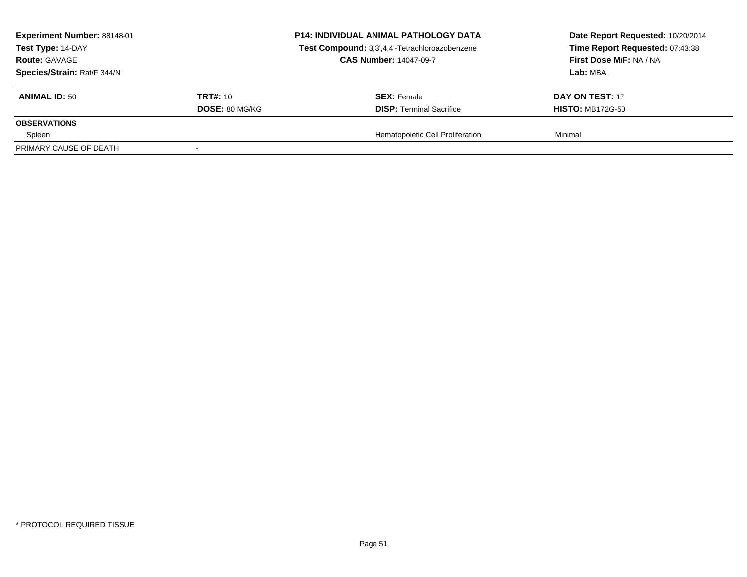| Experiment Number: 88148-01<br>Test Type: 14-DAY<br><b>Route: GAVAGE</b><br>Species/Strain: Rat/F 344/N |                       | <b>P14: INDIVIDUAL ANIMAL PATHOLOGY DATA</b><br>Test Compound: 3,3',4,4'-Tetrachloroazobenzene<br><b>CAS Number: 14047-09-7</b> | Date Report Requested: 10/20/2014<br>Time Report Requested: 07:43:38<br>First Dose M/F: NA / NA<br>Lab: MBA |  |
|---------------------------------------------------------------------------------------------------------|-----------------------|---------------------------------------------------------------------------------------------------------------------------------|-------------------------------------------------------------------------------------------------------------|--|
| <b>ANIMAL ID: 50</b>                                                                                    | <b>TRT#: 10</b>       | <b>SEX: Female</b>                                                                                                              | DAY ON TEST: 17                                                                                             |  |
| <b>OBSERVATIONS</b>                                                                                     | <b>DOSE: 80 MG/KG</b> | <b>DISP: Terminal Sacrifice</b>                                                                                                 | <b>HISTO: MB172G-50</b>                                                                                     |  |
| Spleen                                                                                                  |                       | Hematopoietic Cell Proliferation                                                                                                | Minimal                                                                                                     |  |
| PRIMARY CAUSE OF DEATH                                                                                  |                       |                                                                                                                                 |                                                                                                             |  |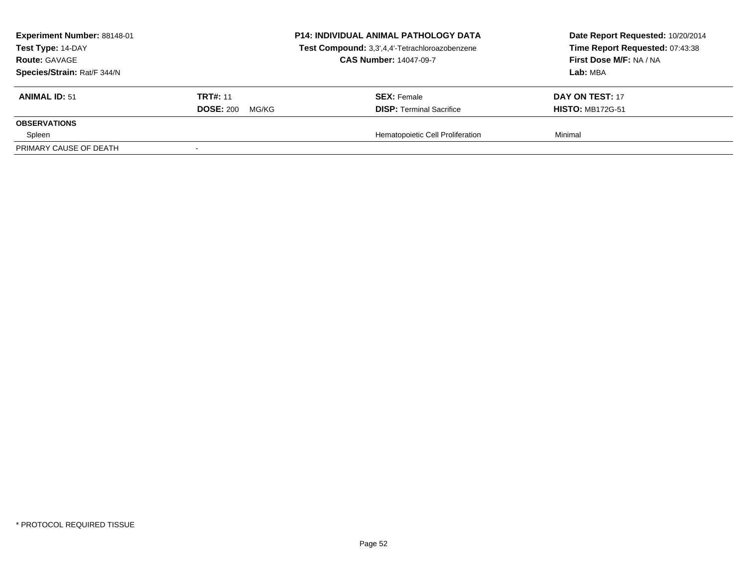| <b>Experiment Number: 88148-01</b><br>Test Type: 14-DAY<br><b>Route: GAVAGE</b><br>Species/Strain: Rat/F 344/N |                        | <b>P14: INDIVIDUAL ANIMAL PATHOLOGY DATA</b><br>Test Compound: 3,3',4,4'-Tetrachloroazobenzene<br><b>CAS Number: 14047-09-7</b> | Date Report Requested: 10/20/2014<br>Time Report Requested: 07:43:38<br>First Dose M/F: NA / NA<br>Lab: MBA |
|----------------------------------------------------------------------------------------------------------------|------------------------|---------------------------------------------------------------------------------------------------------------------------------|-------------------------------------------------------------------------------------------------------------|
| <b>ANIMAL ID: 51</b>                                                                                           | <b>TRT#: 11</b>        | <b>SEX:</b> Female                                                                                                              | DAY ON TEST: 17                                                                                             |
|                                                                                                                | <b>DOSE: 200 MG/KG</b> | <b>DISP: Terminal Sacrifice</b>                                                                                                 | <b>HISTO: MB172G-51</b>                                                                                     |
| <b>OBSERVATIONS</b>                                                                                            |                        |                                                                                                                                 |                                                                                                             |
| Spleen                                                                                                         |                        | Hematopoietic Cell Proliferation                                                                                                | Minimal                                                                                                     |
| PRIMARY CAUSE OF DEATH                                                                                         |                        |                                                                                                                                 |                                                                                                             |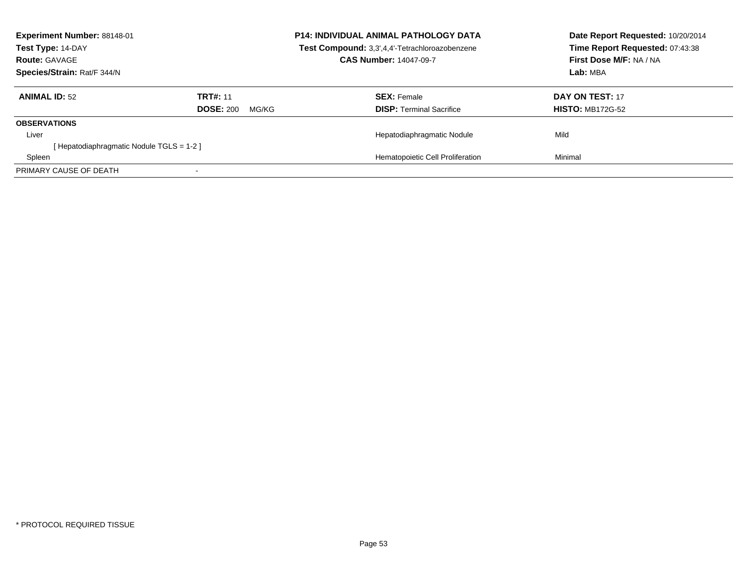| Experiment Number: 88148-01<br>Test Type: 14-DAY<br><b>Route: GAVAGE</b><br>Species/Strain: Rat/F 344/N |                                              | <b>P14: INDIVIDUAL ANIMAL PATHOLOGY DATA</b><br>Test Compound: 3,3',4,4'-Tetrachloroazobenzene<br><b>CAS Number: 14047-09-7</b> | Date Report Requested: 10/20/2014<br>Time Report Requested: 07:43:38<br>First Dose M/F: NA / NA<br>Lab: MBA |
|---------------------------------------------------------------------------------------------------------|----------------------------------------------|---------------------------------------------------------------------------------------------------------------------------------|-------------------------------------------------------------------------------------------------------------|
| <b>ANIMAL ID: 52</b>                                                                                    | <b>TRT#: 11</b><br><b>DOSE: 200</b><br>MG/KG | <b>SEX: Female</b><br><b>DISP:</b> Terminal Sacrifice                                                                           | DAY ON TEST: 17<br><b>HISTO: MB172G-52</b>                                                                  |
| <b>OBSERVATIONS</b>                                                                                     |                                              |                                                                                                                                 |                                                                                                             |
| Liver                                                                                                   |                                              | Hepatodiaphragmatic Nodule                                                                                                      | Mild                                                                                                        |
| [Hepatodiaphragmatic Nodule TGLS = 1-2]                                                                 |                                              |                                                                                                                                 |                                                                                                             |
| Spleen                                                                                                  |                                              | Hematopoietic Cell Proliferation                                                                                                | Minimal                                                                                                     |
| PRIMARY CAUSE OF DEATH                                                                                  |                                              |                                                                                                                                 |                                                                                                             |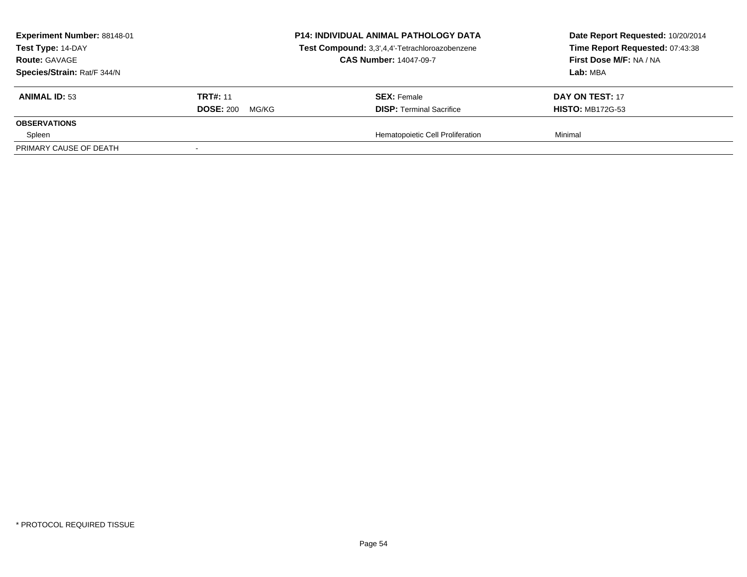|                 | <b>P14: INDIVIDUAL ANIMAL PATHOLOGY DATA</b><br>Test Compound: 3,3',4,4'-Tetrachloroazobenzene<br><b>CAS Number: 14047-09-7</b> | Date Report Requested: 10/20/2014<br>Time Report Requested: 07:43:38<br>First Dose M/F: NA / NA<br>Lab: MBA |
|-----------------|---------------------------------------------------------------------------------------------------------------------------------|-------------------------------------------------------------------------------------------------------------|
| <b>TRT#: 11</b> | <b>SEX: Female</b>                                                                                                              | DAY ON TEST: 17<br><b>HISTO: MB172G-53</b>                                                                  |
|                 |                                                                                                                                 |                                                                                                             |
|                 |                                                                                                                                 | Minimal                                                                                                     |
|                 | <b>DOSE: 200</b><br>MG/KG                                                                                                       | <b>DISP: Terminal Sacrifice</b><br>Hematopoietic Cell Proliferation                                         |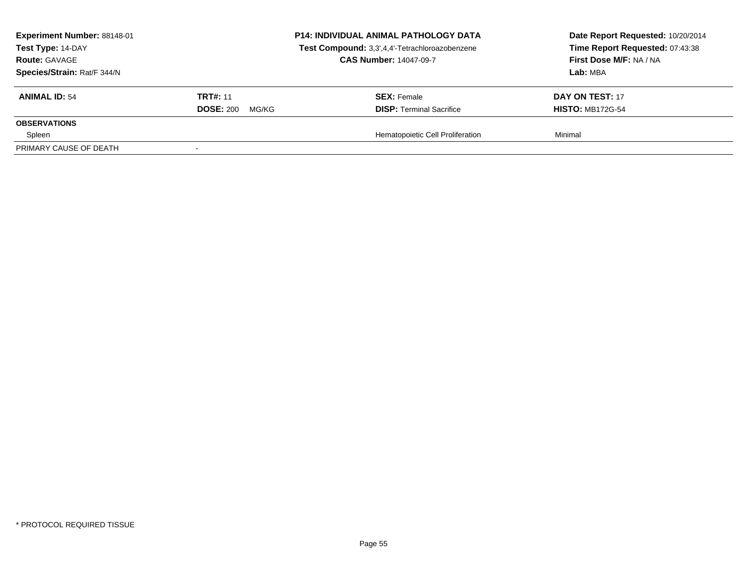| Experiment Number: 88148-01<br>Test Type: 14-DAY<br><b>Route: GAVAGE</b><br>Species/Strain: Rat/F 344/N |                                              | <b>P14: INDIVIDUAL ANIMAL PATHOLOGY DATA</b><br>Test Compound: 3,3',4,4'-Tetrachloroazobenzene<br><b>CAS Number: 14047-09-7</b> | Date Report Requested: 10/20/2014<br>Time Report Requested: 07:43:38<br>First Dose M/F: NA / NA<br>Lab: MBA |
|---------------------------------------------------------------------------------------------------------|----------------------------------------------|---------------------------------------------------------------------------------------------------------------------------------|-------------------------------------------------------------------------------------------------------------|
| <b>ANIMAL ID: 54</b>                                                                                    | <b>TRT#: 11</b><br><b>DOSE: 200</b><br>MG/KG | <b>SEX: Female</b><br><b>DISP: Terminal Sacrifice</b>                                                                           | DAY ON TEST: 17<br><b>HISTO: MB172G-54</b>                                                                  |
| <b>OBSERVATIONS</b>                                                                                     |                                              |                                                                                                                                 |                                                                                                             |
| Spleen<br>PRIMARY CAUSE OF DEATH                                                                        |                                              | Hematopoietic Cell Proliferation                                                                                                | Minimal                                                                                                     |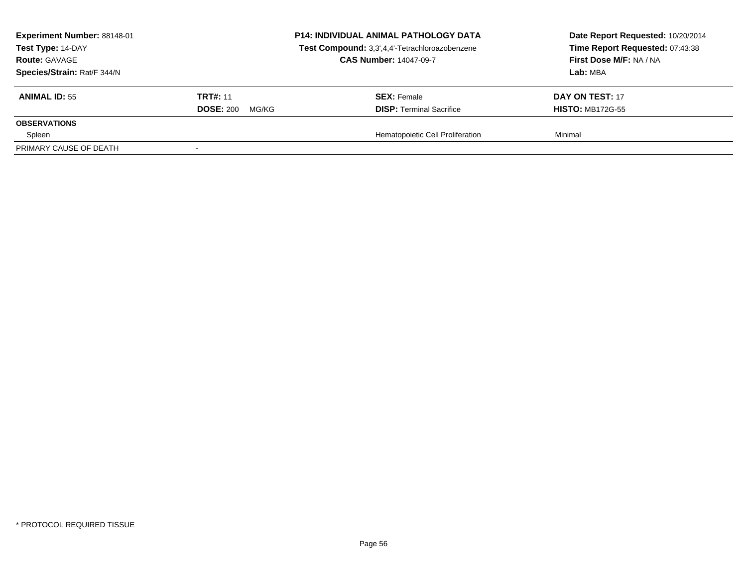| Experiment Number: 88148-01<br>Test Type: 14-DAY<br><b>Route: GAVAGE</b><br>Species/Strain: Rat/F 344/N |                                              | <b>P14: INDIVIDUAL ANIMAL PATHOLOGY DATA</b><br>Test Compound: 3,3',4,4'-Tetrachloroazobenzene<br><b>CAS Number: 14047-09-7</b> | Date Report Requested: 10/20/2014<br>Time Report Requested: 07:43:38<br>First Dose M/F: NA / NA<br>Lab: MBA |
|---------------------------------------------------------------------------------------------------------|----------------------------------------------|---------------------------------------------------------------------------------------------------------------------------------|-------------------------------------------------------------------------------------------------------------|
| <b>ANIMAL ID: 55</b>                                                                                    | <b>TRT#: 11</b><br><b>DOSE: 200</b><br>MG/KG | <b>SEX: Female</b><br><b>DISP: Terminal Sacrifice</b>                                                                           | DAY ON TEST: 17<br><b>HISTO: MB172G-55</b>                                                                  |
| <b>OBSERVATIONS</b>                                                                                     |                                              |                                                                                                                                 |                                                                                                             |
| Spleen<br>PRIMARY CAUSE OF DEATH                                                                        |                                              | Hematopoietic Cell Proliferation                                                                                                | Minimal                                                                                                     |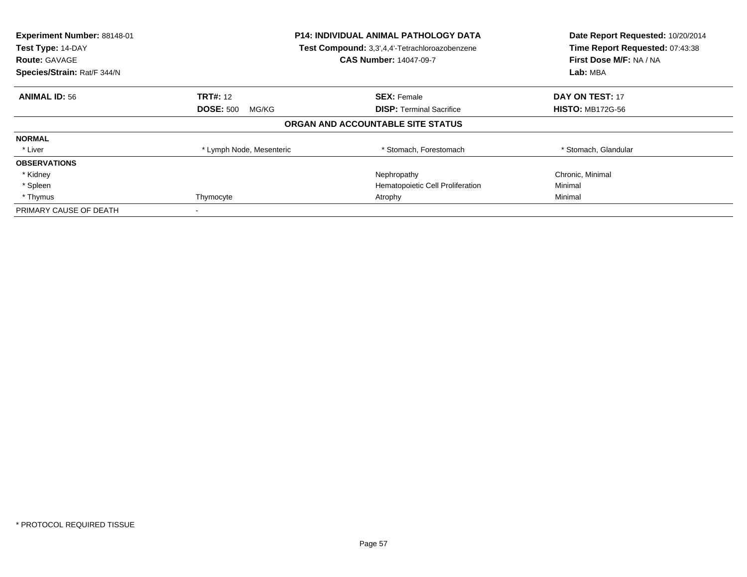| Experiment Number: 88148-01<br>Test Type: 14-DAY<br><b>Route: GAVAGE</b><br>Species/Strain: Rat/F 344/N | <b>P14: INDIVIDUAL ANIMAL PATHOLOGY DATA</b><br>Test Compound: 3,3',4,4'-Tetrachloroazobenzene<br><b>CAS Number: 14047-09-7</b> |                                   | Date Report Requested: 10/20/2014<br>Time Report Requested: 07:43:38<br>First Dose M/F: NA / NA<br>Lab: MBA |
|---------------------------------------------------------------------------------------------------------|---------------------------------------------------------------------------------------------------------------------------------|-----------------------------------|-------------------------------------------------------------------------------------------------------------|
| <b>ANIMAL ID: 56</b>                                                                                    | <b>TRT#: 12</b>                                                                                                                 | <b>SEX: Female</b>                | <b>DAY ON TEST: 17</b>                                                                                      |
|                                                                                                         | <b>DOSE: 500</b><br>MG/KG                                                                                                       | <b>DISP:</b> Terminal Sacrifice   | <b>HISTO: MB172G-56</b>                                                                                     |
|                                                                                                         |                                                                                                                                 | ORGAN AND ACCOUNTABLE SITE STATUS |                                                                                                             |
| <b>NORMAL</b>                                                                                           |                                                                                                                                 |                                   |                                                                                                             |
| * Liver                                                                                                 | * Lymph Node, Mesenteric                                                                                                        | * Stomach, Forestomach            | * Stomach, Glandular                                                                                        |
| <b>OBSERVATIONS</b>                                                                                     |                                                                                                                                 |                                   |                                                                                                             |
| * Kidney                                                                                                |                                                                                                                                 | Nephropathy                       | Chronic, Minimal                                                                                            |
| * Spleen                                                                                                |                                                                                                                                 | Hematopoietic Cell Proliferation  | Minimal                                                                                                     |
| * Thymus                                                                                                | Thymocyte                                                                                                                       | Atrophy                           | Minimal                                                                                                     |
| PRIMARY CAUSE OF DEATH                                                                                  |                                                                                                                                 |                                   |                                                                                                             |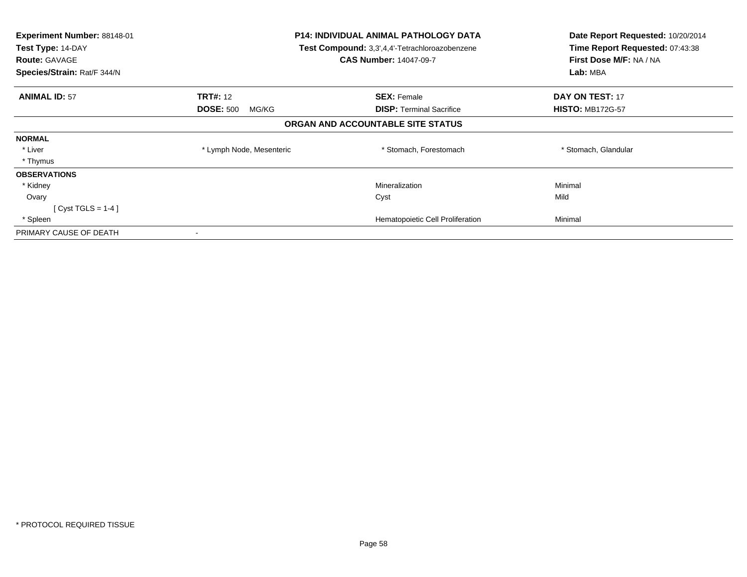| <b>P14: INDIVIDUAL ANIMAL PATHOLOGY DATA</b><br><b>Experiment Number: 88148-01</b><br>Test Type: 14-DAY<br>Test Compound: 3,3',4,4'-Tetrachloroazobenzene |                           |                                   | Date Report Requested: 10/20/2014 |
|-----------------------------------------------------------------------------------------------------------------------------------------------------------|---------------------------|-----------------------------------|-----------------------------------|
|                                                                                                                                                           |                           |                                   | Time Report Requested: 07:43:38   |
| <b>Route: GAVAGE</b>                                                                                                                                      |                           | <b>CAS Number: 14047-09-7</b>     | First Dose M/F: NA / NA           |
| Species/Strain: Rat/F 344/N                                                                                                                               |                           |                                   | Lab: MBA                          |
| <b>ANIMAL ID: 57</b>                                                                                                                                      | <b>TRT#: 12</b>           | <b>SEX: Female</b>                | DAY ON TEST: 17                   |
|                                                                                                                                                           | <b>DOSE: 500</b><br>MG/KG | <b>DISP: Terminal Sacrifice</b>   | <b>HISTO: MB172G-57</b>           |
|                                                                                                                                                           |                           | ORGAN AND ACCOUNTABLE SITE STATUS |                                   |
| <b>NORMAL</b>                                                                                                                                             |                           |                                   |                                   |
| * Liver                                                                                                                                                   | * Lymph Node, Mesenteric  | * Stomach, Forestomach            | * Stomach, Glandular              |
| * Thymus                                                                                                                                                  |                           |                                   |                                   |
| <b>OBSERVATIONS</b>                                                                                                                                       |                           |                                   |                                   |
| * Kidney                                                                                                                                                  |                           | Mineralization                    | Minimal                           |
| Ovary                                                                                                                                                     |                           | Cyst                              | Mild                              |
| $[Cyst TGLS = 1-4]$                                                                                                                                       |                           |                                   |                                   |
| * Spleen                                                                                                                                                  |                           | Hematopoietic Cell Proliferation  | Minimal                           |
| PRIMARY CAUSE OF DEATH                                                                                                                                    |                           |                                   |                                   |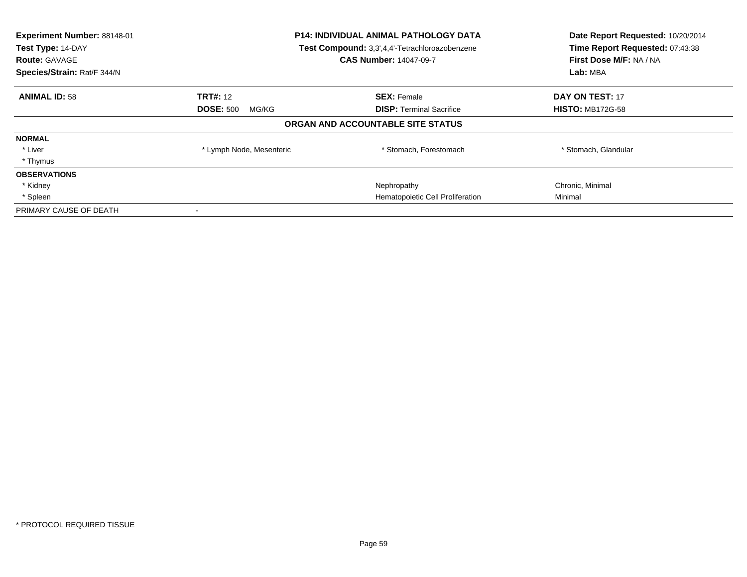| Experiment Number: 88148-01<br>Test Type: 14-DAY<br><b>Route: GAVAGE</b><br>Species/Strain: Rat/F 344/N | <b>P14: INDIVIDUAL ANIMAL PATHOLOGY DATA</b><br>Test Compound: 3,3',4,4'-Tetrachloroazobenzene<br><b>CAS Number: 14047-09-7</b> |                                   | Date Report Requested: 10/20/2014<br>Time Report Requested: 07:43:38<br>First Dose M/F: NA / NA<br>Lab: MBA |
|---------------------------------------------------------------------------------------------------------|---------------------------------------------------------------------------------------------------------------------------------|-----------------------------------|-------------------------------------------------------------------------------------------------------------|
| <b>ANIMAL ID: 58</b>                                                                                    | <b>TRT#: 12</b>                                                                                                                 | <b>SEX: Female</b>                | <b>DAY ON TEST: 17</b>                                                                                      |
|                                                                                                         | <b>DOSE: 500</b><br>MG/KG                                                                                                       | <b>DISP:</b> Terminal Sacrifice   | <b>HISTO: MB172G-58</b>                                                                                     |
|                                                                                                         |                                                                                                                                 | ORGAN AND ACCOUNTABLE SITE STATUS |                                                                                                             |
| <b>NORMAL</b>                                                                                           |                                                                                                                                 |                                   |                                                                                                             |
| * Liver                                                                                                 | * Lymph Node, Mesenteric                                                                                                        | * Stomach, Forestomach            | * Stomach, Glandular                                                                                        |
| * Thymus                                                                                                |                                                                                                                                 |                                   |                                                                                                             |
| <b>OBSERVATIONS</b>                                                                                     |                                                                                                                                 |                                   |                                                                                                             |
| * Kidney                                                                                                |                                                                                                                                 | Nephropathy                       | Chronic, Minimal                                                                                            |
| * Spleen                                                                                                |                                                                                                                                 | Hematopoietic Cell Proliferation  | Minimal                                                                                                     |
| PRIMARY CAUSE OF DEATH                                                                                  |                                                                                                                                 |                                   |                                                                                                             |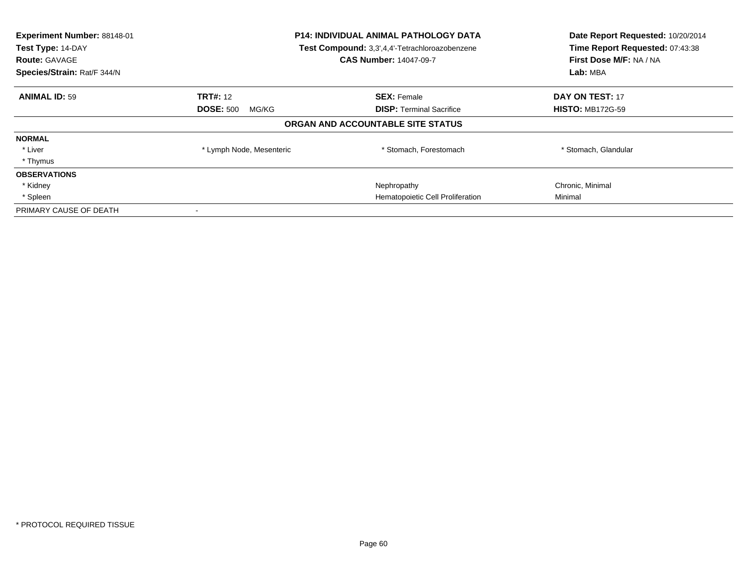| Experiment Number: 88148-01<br>Test Type: 14-DAY<br><b>Route: GAVAGE</b><br>Species/Strain: Rat/F 344/N | <b>P14: INDIVIDUAL ANIMAL PATHOLOGY DATA</b><br>Test Compound: 3,3',4,4'-Tetrachloroazobenzene<br><b>CAS Number: 14047-09-7</b> |                                   | Date Report Requested: 10/20/2014<br>Time Report Requested: 07:43:38<br>First Dose M/F: NA / NA<br>Lab: MBA |
|---------------------------------------------------------------------------------------------------------|---------------------------------------------------------------------------------------------------------------------------------|-----------------------------------|-------------------------------------------------------------------------------------------------------------|
| <b>ANIMAL ID: 59</b>                                                                                    | <b>TRT#: 12</b>                                                                                                                 | <b>SEX: Female</b>                | <b>DAY ON TEST: 17</b>                                                                                      |
|                                                                                                         | <b>DOSE: 500</b><br>MG/KG                                                                                                       | <b>DISP:</b> Terminal Sacrifice   | <b>HISTO: MB172G-59</b>                                                                                     |
|                                                                                                         |                                                                                                                                 | ORGAN AND ACCOUNTABLE SITE STATUS |                                                                                                             |
| <b>NORMAL</b>                                                                                           |                                                                                                                                 |                                   |                                                                                                             |
| * Liver                                                                                                 | * Lymph Node, Mesenteric                                                                                                        | * Stomach, Forestomach            | * Stomach, Glandular                                                                                        |
| * Thymus                                                                                                |                                                                                                                                 |                                   |                                                                                                             |
| <b>OBSERVATIONS</b>                                                                                     |                                                                                                                                 |                                   |                                                                                                             |
| * Kidney                                                                                                |                                                                                                                                 | Nephropathy                       | Chronic, Minimal                                                                                            |
| * Spleen                                                                                                |                                                                                                                                 | Hematopoietic Cell Proliferation  | Minimal                                                                                                     |
| PRIMARY CAUSE OF DEATH                                                                                  |                                                                                                                                 |                                   |                                                                                                             |